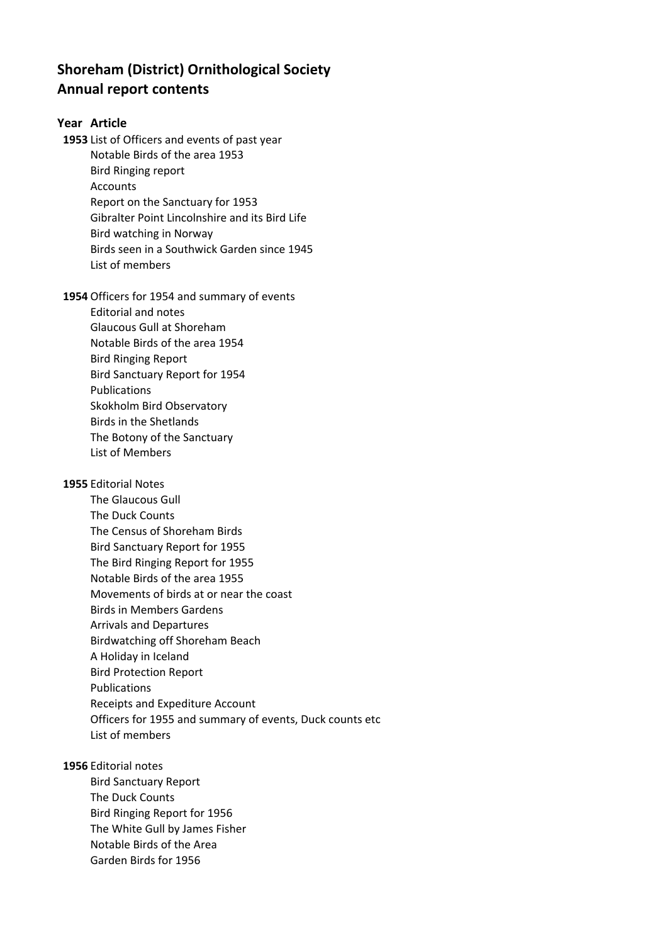# **Shoreham (District) Ornithological Society Annual report contents**

# **Year Article**

**1953** List of Officers and events of past year Notable Birds of the area 1953 Bird Ringing report Accounts Report on the Sanctuary for 1953 Gibralter Point Lincolnshire and its Bird Life Bird watching in Norway Birds seen in a Southwick Garden since 1945 List of members

**1954** Officers for 1954 and summary of events

Editorial and notes Glaucous Gull at Shoreham Notable Birds of the area 1954 Bird Ringing Report Bird Sanctuary Report for 1954 Publications Skokholm Bird Observatory Birds in the Shetlands The Botony of the Sanctuary List of Members

# **1955** Editorial Notes

The Glaucous Gull The Duck Counts The Census of Shoreham Birds Bird Sanctuary Report for 1955 The Bird Ringing Report for 1955 Notable Birds of the area 1955 Movements of birds at or near the coast Birds in Members Gardens Arrivals and Departures Birdwatching off Shoreham Beach A Holiday in Iceland Bird Protection Report Publications Receipts and Expediture Account Officers for 1955 and summary of events, Duck counts etc List of members

# **1956** Editorial notes

Bird Sanctuary Report The Duck Counts Bird Ringing Report for 1956 The White Gull by James Fisher Notable Birds of the Area Garden Birds for 1956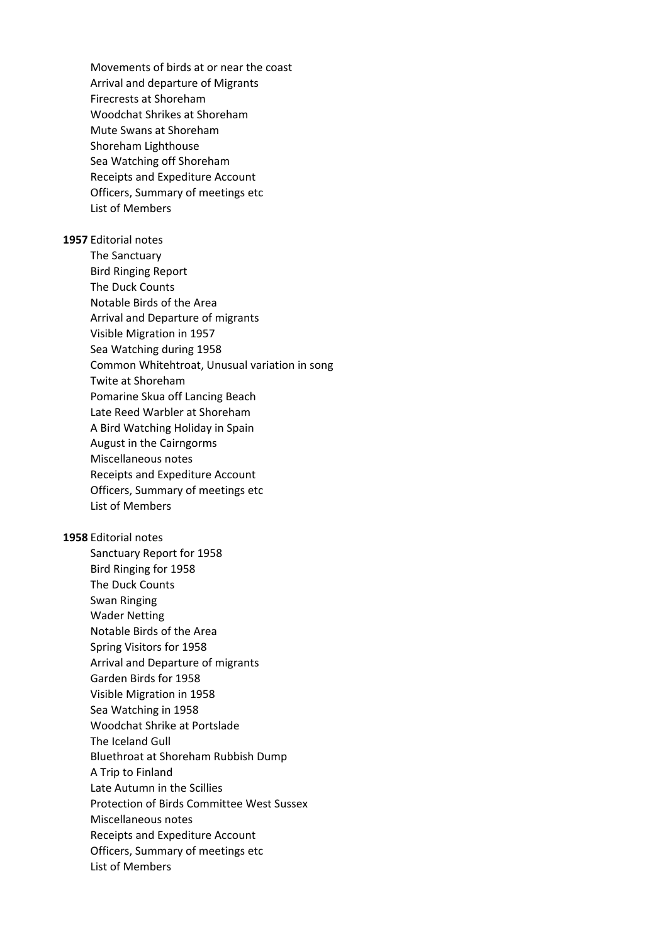Movements of birds at or near the coast Arrival and departure of Migrants Firecrests at Shoreham Woodchat Shrikes at Shoreham Mute Swans at Shoreham Shoreham Lighthouse Sea Watching off Shoreham Receipts and Expediture Account Officers, Summary of meetings etc List of Members **1957** Editorial notes The Sanctuary Bird Ringing Report The Duck Counts

Notable Birds of the Area Arrival and Departure of migrants Visible Migration in 1957 Sea Watching during 1958 Common Whitehtroat, Unusual variation in song Twite at Shoreham Pomarine Skua off Lancing Beach Late Reed Warbler at Shoreham A Bird Watching Holiday in Spain August in the Cairngorms Miscellaneous notes Receipts and Expediture Account Officers, Summary of meetings etc List of Members

#### **1958** Editorial notes

Sanctuary Report for 1958 Bird Ringing for 1958 The Duck Counts Swan Ringing Wader Netting Notable Birds of the Area Spring Visitors for 1958 Arrival and Departure of migrants Garden Birds for 1958 Visible Migration in 1958 Sea Watching in 1958 Woodchat Shrike at Portslade The Iceland Gull Bluethroat at Shoreham Rubbish Dump A Trip to Finland Late Autumn in the Scillies Protection of Birds Committee West Sussex Miscellaneous notes Receipts and Expediture Account Officers, Summary of meetings etc List of Members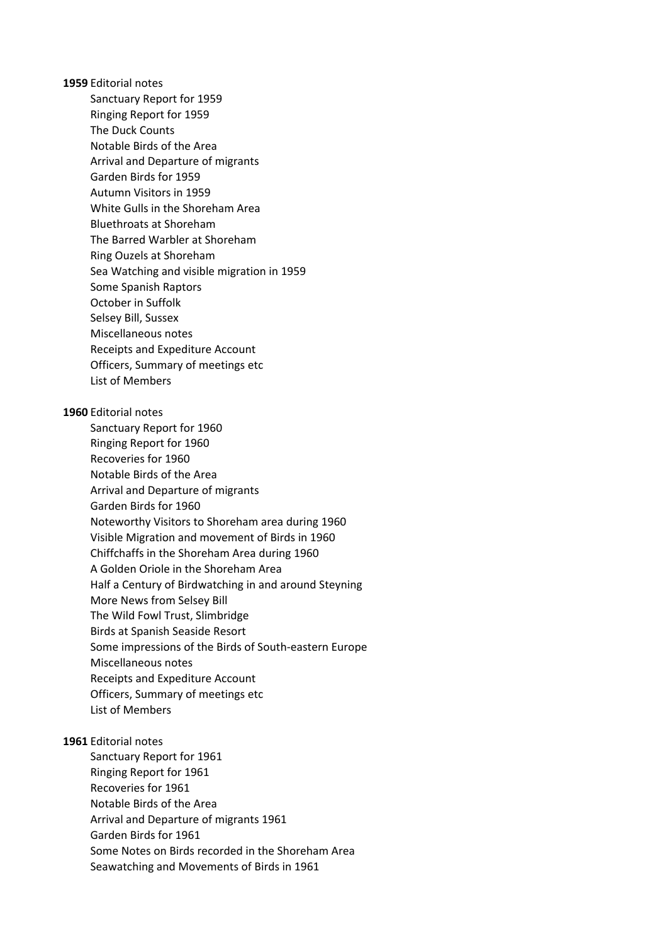**1959** Editorial notes Sanctuary Report for 1959 Ringing Report for 1959 The Duck Counts Notable Birds of the Area Arrival and Departure of migrants Garden Birds for 1959 Autumn Visitors in 1959 White Gulls in the Shoreham Area Bluethroats at Shoreham The Barred Warbler at Shoreham Ring Ouzels at Shoreham Sea Watching and visible migration in 1959 Some Spanish Raptors October in Suffolk Selsey Bill, Sussex Miscellaneous notes Receipts and Expediture Account Officers, Summary of meetings etc List of Members **1960** Editorial notes Sanctuary Report for 1960 Ringing Report for 1960 Recoveries for 1960 Notable Birds of the Area Arrival and Departure of migrants Garden Birds for 1960 Noteworthy Visitors to Shoreham area during 1960 Visible Migration and movement of Birds in 1960 Chiffchaffs in the Shoreham Area during 1960 A Golden Oriole in the Shoreham Area Half a Century of Birdwatching in and around Steyning More News from Selsey Bill The Wild Fowl Trust, Slimbridge Birds at Spanish Seaside Resort Some impressions of the Birds of South-eastern Europe Miscellaneous notes Receipts and Expediture Account Officers, Summary of meetings etc

List of Members

# **1961** Editorial notes

Sanctuary Report for 1961 Ringing Report for 1961 Recoveries for 1961 Notable Birds of the Area Arrival and Departure of migrants 1961 Garden Birds for 1961 Some Notes on Birds recorded in the Shoreham Area Seawatching and Movements of Birds in 1961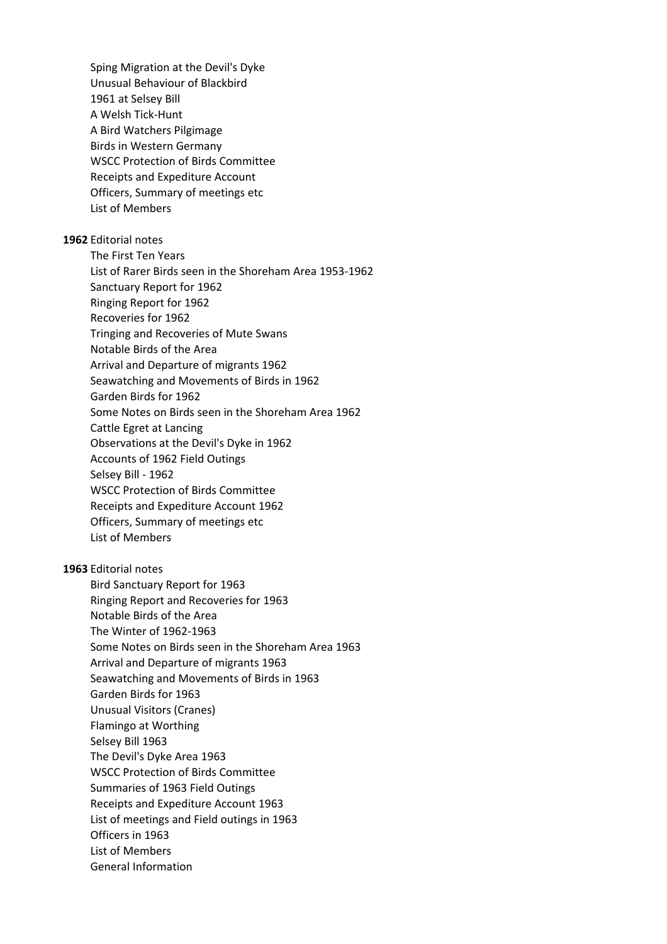Sping Migration at the Devil's Dyke Unusual Behaviour of Blackbird 1961 at Selsey Bill A Welsh Tick-Hunt A Bird Watchers Pilgimage Birds in Western Germany WSCC Protection of Birds Committee Receipts and Expediture Account Officers, Summary of meetings etc List of Members **1962** Editorial notes The First Ten Years List of Rarer Birds seen in the Shoreham Area 1953-1962 Sanctuary Report for 1962 Ringing Report for 1962 Recoveries for 1962 Tringing and Recoveries of Mute Swans Notable Birds of the Area Arrival and Departure of migrants 1962 Seawatching and Movements of Birds in 1962 Garden Birds for 1962 Some Notes on Birds seen in the Shoreham Area 1962 Cattle Egret at Lancing Observations at the Devil's Dyke in 1962 Accounts of 1962 Field Outings Selsey Bill - 1962 WSCC Protection of Birds Committee Receipts and Expediture Account 1962 Officers, Summary of meetings etc List of Members

# **1963** Editorial notes

Bird Sanctuary Report for 1963 Ringing Report and Recoveries for 1963 Notable Birds of the Area The Winter of 1962-1963 Some Notes on Birds seen in the Shoreham Area 1963 Arrival and Departure of migrants 1963 Seawatching and Movements of Birds in 1963 Garden Birds for 1963 Unusual Visitors (Cranes) Flamingo at Worthing Selsey Bill 1963 The Devil's Dyke Area 1963 WSCC Protection of Birds Committee Summaries of 1963 Field Outings Receipts and Expediture Account 1963 List of meetings and Field outings in 1963 Officers in 1963 List of Members General Information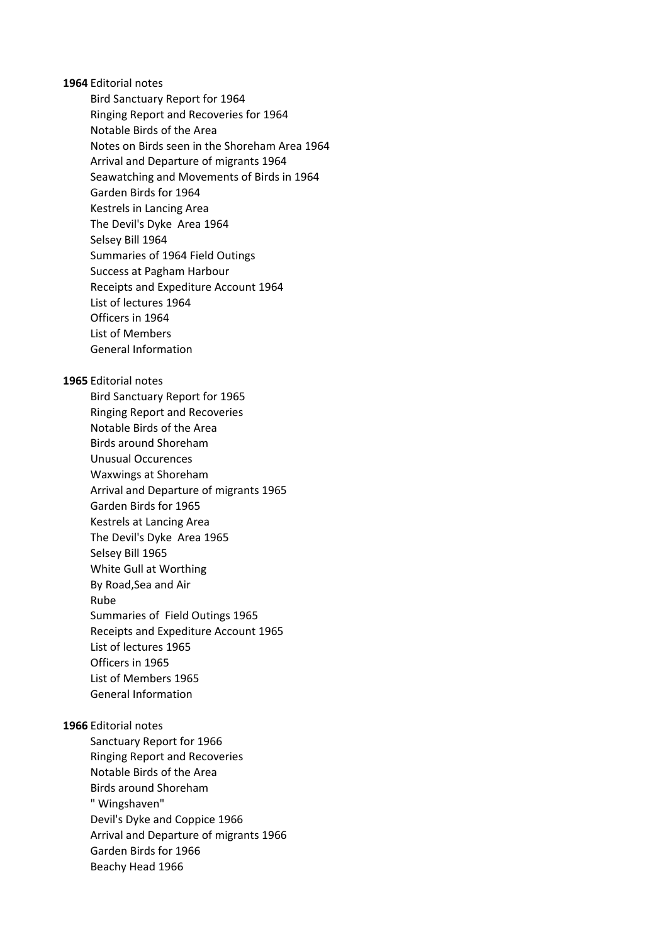**1964** Editorial notes Bird Sanctuary Report for 1964 Ringing Report and Recoveries for 1964 Notable Birds of the Area Notes on Birds seen in the Shoreham Area 1964 Arrival and Departure of migrants 1964 Seawatching and Movements of Birds in 1964 Garden Birds for 1964 Kestrels in Lancing Area The Devil's Dyke Area 1964 Selsey Bill 1964 Summaries of 1964 Field Outings Success at Pagham Harbour Receipts and Expediture Account 1964 List of lectures 1964 Officers in 1964 List of Members General Information **1965** Editorial notes Bird Sanctuary Report for 1965 Ringing Report and Recoveries Notable Birds of the Area Birds around Shoreham Unusual Occurences Waxwings at Shoreham Arrival and Departure of migrants 1965 Garden Birds for 1965 Kestrels at Lancing Area The Devil's Dyke Area 1965 Selsey Bill 1965 White Gull at Worthing By Road,Sea and Air Rube Summaries of Field Outings 1965 Receipts and Expediture Account 1965 List of lectures 1965 Officers in 1965 List of Members 1965 General Information **1966** Editorial notes Sanctuary Report for 1966

Ringing Report and Recoveries Notable Birds of the Area Birds around Shoreham " Wingshaven" Devil's Dyke and Coppice 1966 Arrival and Departure of migrants 1966 Garden Birds for 1966 Beachy Head 1966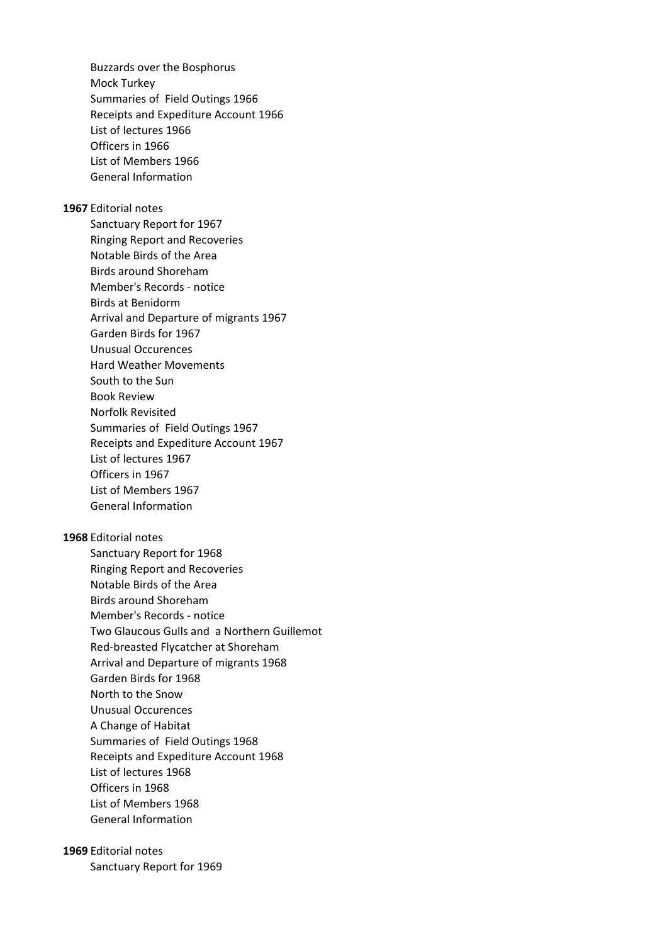Buzzards over the Bosphorus Mock Turkey Summaries of Field Outings 1966 Receipts and Expediture Account 1966 List of lectures 1966 Officers in 1966 List of Members 1966 General Information

## **1967** Editorial notes

Sanctuary Report for 1967 Ringing Report and Recoveries Notable Birds of the Area Birds around Shoreham Member's Records - notice Birds at Benidorm Arrival and Departure of migrants 1967 Garden Birds for 1967 Unusual Occurences Hard Weather Movements South to the Sun Book Review Norfolk Revisited Summaries of Field Outings 1967 Receipts and Expediture Account 1967 List of lectures 1967 Officers in 1967 List of Members 1967 General Information

## **1968** Editorial notes

Sanctuary Report for 1968 Ringing Report and Recoveries Notable Birds of the Area Birds around Shoreham Member's Records - notice Two Glaucous Gulls and a Northern Guillemot Red-breasted Flycatcher at Shoreham Arrival and Departure of migrants 1968 Garden Birds for 1968 North to the Snow Unusual Occurences A Change of Habitat Summaries of Field Outings 1968 Receipts and Expediture Account 1968 List of lectures 1968 Officers in 1968 List of Members 1968 General Information

# **1969** Editorial notes

Sanctuary Report for 1969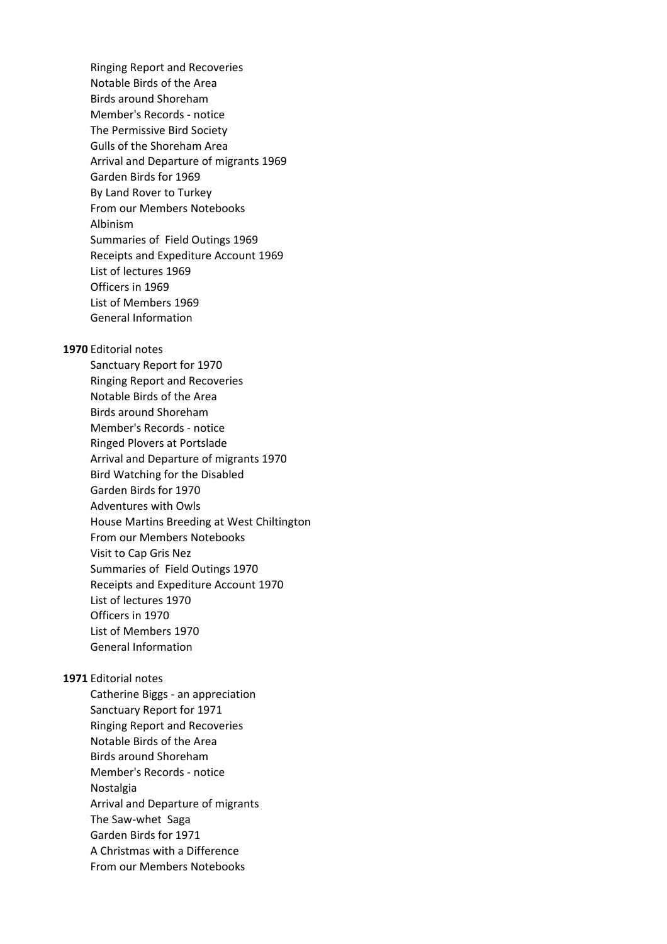Ringing Report and Recoveries Notable Birds of the Area Birds around Shoreham Member's Records - notice The Permissive Bird Society Gulls of the Shoreham Area Arrival and Departure of migrants 1969 Garden Birds for 1969 By Land Rover to Turkey From our Members Notebooks Albinism Summaries of Field Outings 1969 Receipts and Expediture Account 1969 List of lectures 1969 Officers in 1969 List of Members 1969 General Information

## **1970** Editorial notes

Sanctuary Report for 1970 Ringing Report and Recoveries Notable Birds of the Area Birds around Shoreham Member's Records - notice Ringed Plovers at Portslade Arrival and Departure of migrants 1970 Bird Watching for the Disabled Garden Birds for 1970 Adventures with Owls House Martins Breeding at West Chiltington From our Members Notebooks Visit to Cap Gris Nez Summaries of Field Outings 1970 Receipts and Expediture Account 1970 List of lectures 1970 Officers in 1970 List of Members 1970 General Information

## **1971** Editorial notes

Catherine Biggs - an appreciation Sanctuary Report for 1971 Ringing Report and Recoveries Notable Birds of the Area Birds around Shoreham Member's Records - notice Nostalgia Arrival and Departure of migrants The Saw-whet Saga Garden Birds for 1971 A Christmas with a Difference From our Members Notebooks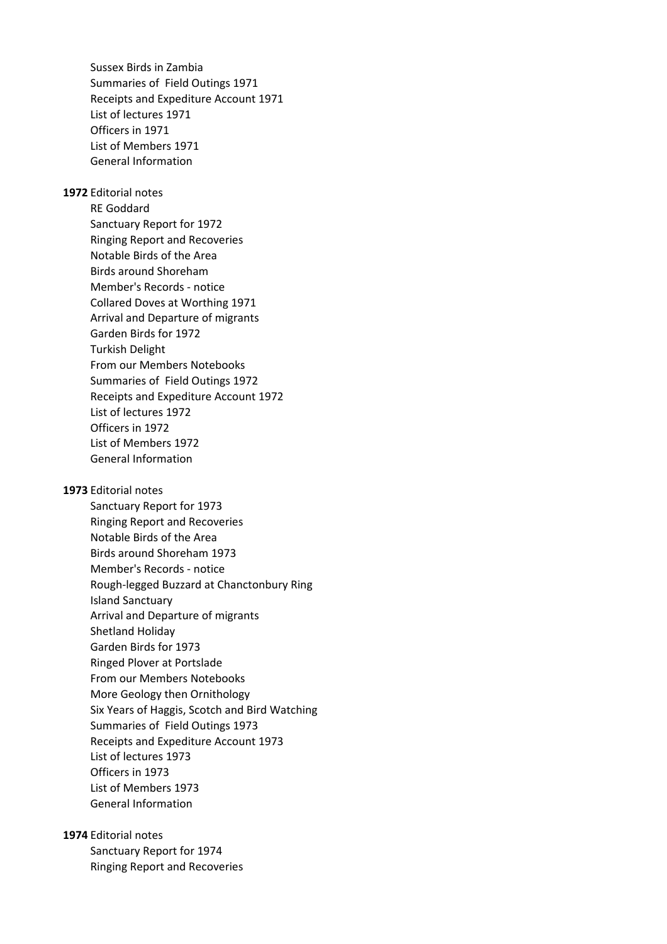Sussex Birds in Zambia Summaries of Field Outings 1971 Receipts and Expediture Account 1971 List of lectures 1971 Officers in 1971 List of Members 1971 General Information

# **1972** Editorial notes

RE Goddard Sanctuary Report for 1972 Ringing Report and Recoveries Notable Birds of the Area Birds around Shoreham Member's Records - notice Collared Doves at Worthing 1971 Arrival and Departure of migrants Garden Birds for 1972 Turkish Delight From our Members Notebooks Summaries of Field Outings 1972 Receipts and Expediture Account 1972 List of lectures 1972 Officers in 1972 List of Members 1972 General Information

## **1973** Editorial notes

Sanctuary Report for 1973 Ringing Report and Recoveries Notable Birds of the Area Birds around Shoreham 1973 Member's Records - notice Rough-legged Buzzard at Chanctonbury Ring Island Sanctuary Arrival and Departure of migrants Shetland Holiday Garden Birds for 1973 Ringed Plover at Portslade From our Members Notebooks More Geology then Ornithology Six Years of Haggis, Scotch and Bird Watching Summaries of Field Outings 1973 Receipts and Expediture Account 1973 List of lectures 1973 Officers in 1973 List of Members 1973 General Information

# **1974** Editorial notes

Sanctuary Report for 1974 Ringing Report and Recoveries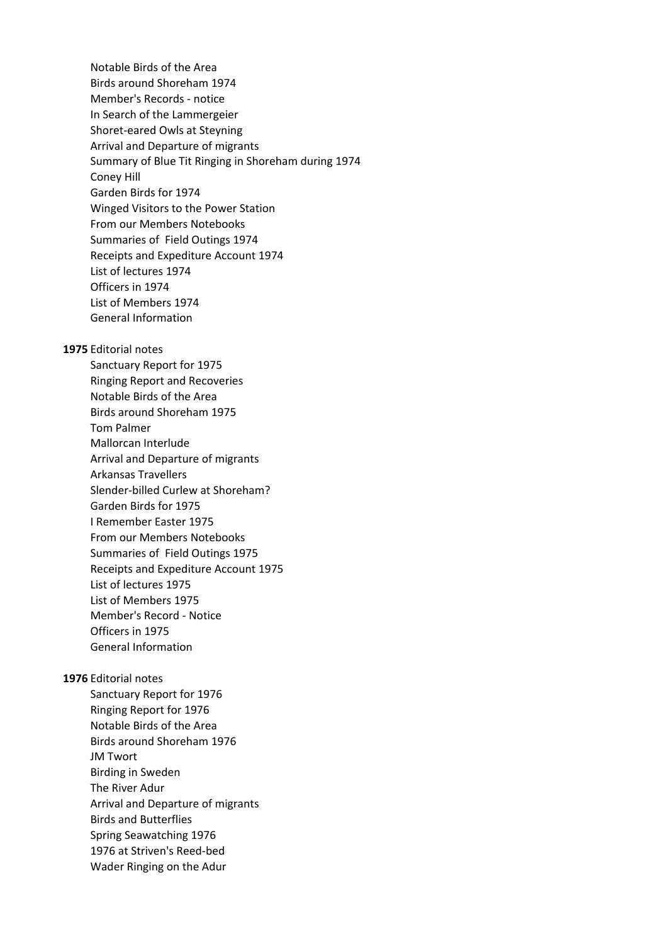Notable Birds of the Area Birds around Shoreham 1974 Member's Records - notice In Search of the Lammergeier Shoret-eared Owls at Steyning Arrival and Departure of migrants Summary of Blue Tit Ringing in Shoreham during 1974 Coney Hill Garden Birds for 1974 Winged Visitors to the Power Station From our Members Notebooks Summaries of Field Outings 1974 Receipts and Expediture Account 1974 List of lectures 1974 Officers in 1974 List of Members 1974 General Information

# **1975** Editorial notes

Sanctuary Report for 1975 Ringing Report and Recoveries Notable Birds of the Area Birds around Shoreham 1975 Tom Palmer Mallorcan Interlude Arrival and Departure of migrants Arkansas Travellers Slender-billed Curlew at Shoreham? Garden Birds for 1975 I Remember Easter 1975 From our Members Notebooks Summaries of Field Outings 1975 Receipts and Expediture Account 1975 List of lectures 1975 List of Members 1975 Member's Record - Notice Officers in 1975 General Information

## **1976** Editorial notes

Sanctuary Report for 1976 Ringing Report for 1976 Notable Birds of the Area Birds around Shoreham 1976 JM Twort Birding in Sweden The River Adur Arrival and Departure of migrants Birds and Butterflies Spring Seawatching 1976 1976 at Striven's Reed-bed Wader Ringing on the Adur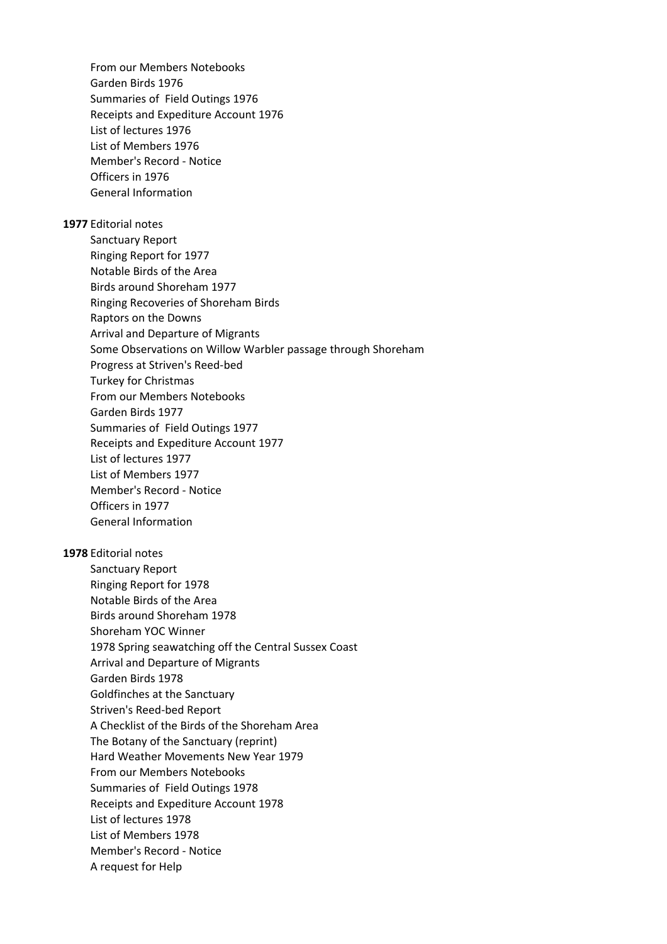From our Members Notebooks Garden Birds 1976 Summaries of Field Outings 1976 Receipts and Expediture Account 1976 List of lectures 1976 List of Members 1976 Member's Record - Notice Officers in 1976 General Information **1977** Editorial notes Sanctuary Report Ringing Report for 1977 Notable Birds of the Area Birds around Shoreham 1977 Ringing Recoveries of Shoreham Birds Raptors on the Downs Arrival and Departure of Migrants Some Observations on Willow Warbler passage through Shoreham Progress at Striven's Reed-bed Turkey for Christmas From our Members Notebooks Garden Birds 1977 Summaries of Field Outings 1977 Receipts and Expediture Account 1977 List of lectures 1977 List of Members 1977 Member's Record - Notice Officers in 1977 General Information **1978** Editorial notes Sanctuary Report Ringing Report for 1978 Notable Birds of the Area Birds around Shoreham 1978 Shoreham YOC Winner 1978 Spring seawatching off the Central Sussex Coast Arrival and Departure of Migrants Garden Birds 1978 Goldfinches at the Sanctuary Striven's Reed-bed Report A Checklist of the Birds of the Shoreham Area The Botany of the Sanctuary (reprint) Hard Weather Movements New Year 1979 From our Members Notebooks Summaries of Field Outings 1978 Receipts and Expediture Account 1978 List of lectures 1978 List of Members 1978 Member's Record - Notice A request for Help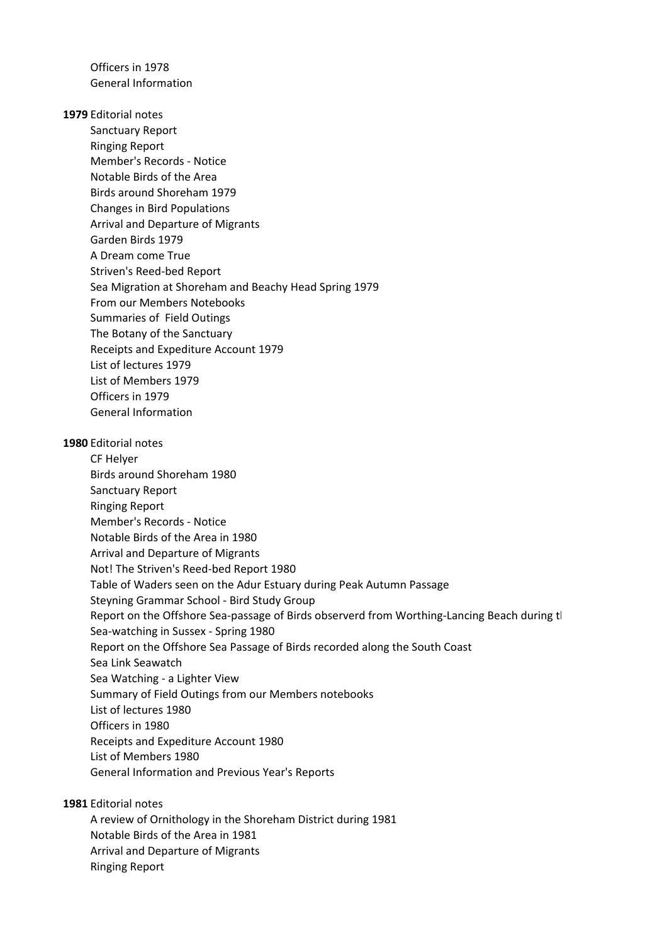Officers in 1978 General Information

**1979** Editorial notes

Sanctuary Report Ringing Report Member's Records - Notice Notable Birds of the Area Birds around Shoreham 1979 Changes in Bird Populations Arrival and Departure of Migrants Garden Birds 1979 A Dream come True Striven's Reed-bed Report Sea Migration at Shoreham and Beachy Head Spring 1979 From our Members Notebooks Summaries of Field Outings The Botany of the Sanctuary Receipts and Expediture Account 1979 List of lectures 1979 List of Members 1979 Officers in 1979 General Information

## **1980** Editorial notes

CF Helyer Birds around Shoreham 1980 Sanctuary Report Ringing Report Member's Records - Notice Notable Birds of the Area in 1980 Arrival and Departure of Migrants Not! The Striven's Reed-bed Report 1980 Table of Waders seen on the Adur Estuary during Peak Autumn Passage Steyning Grammar School - Bird Study Group Report on the Offshore Sea-passage of Birds observerd from Worthing-Lancing Beach during the Spannic R Sea-watching in Sussex - Spring 1980 Report on the Offshore Sea Passage of Birds recorded along the South Coast Sea Link Seawatch Sea Watching - a Lighter View Summary of Field Outings from our Members notebooks List of lectures 1980 Officers in 1980 Receipts and Expediture Account 1980 List of Members 1980 General Information and Previous Year's Reports

**1981** Editorial notes

A review of Ornithology in the Shoreham District during 1981 Notable Birds of the Area in 1981 Arrival and Departure of Migrants Ringing Report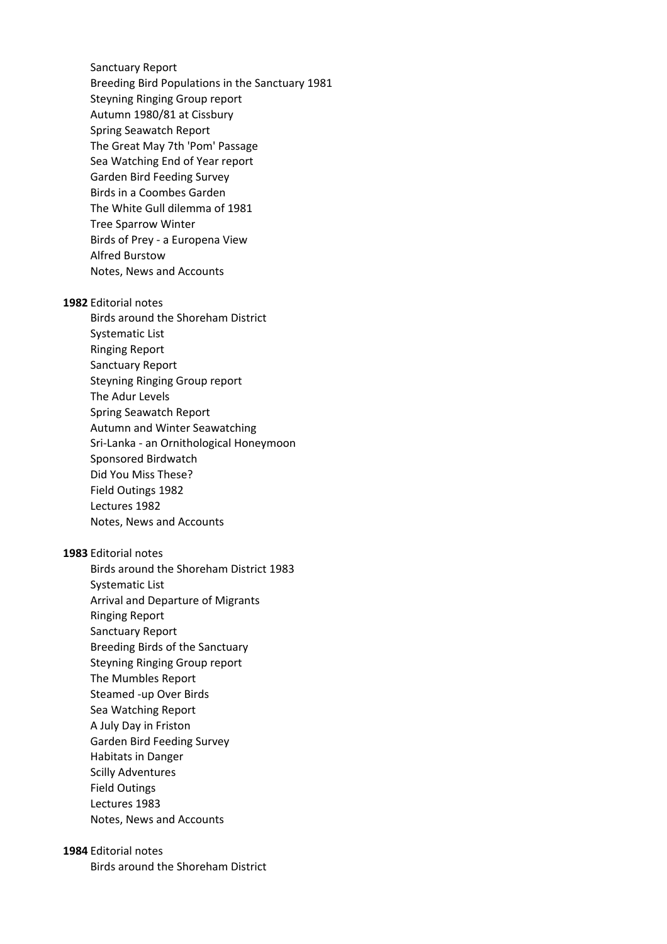Sanctuary Report Breeding Bird Populations in the Sanctuary 1981 Steyning Ringing Group report Autumn 1980/81 at Cissbury Spring Seawatch Report The Great May 7th 'Pom' Passage Sea Watching End of Year report Garden Bird Feeding Survey Birds in a Coombes Garden The White Gull dilemma of 1981 Tree Sparrow Winter Birds of Prey - a Europena View Alfred Burstow Notes, News and Accounts

# **1982** Editorial notes

Birds around the Shoreham District Systematic List Ringing Report Sanctuary Report Steyning Ringing Group report The Adur Levels Spring Seawatch Report Autumn and Winter Seawatching Sri-Lanka - an Ornithological Honeymoon Sponsored Birdwatch Did You Miss These? Field Outings 1982 Lectures 1982 Notes, News and Accounts

**1983** Editorial notes

Birds around the Shoreham District 1983 Systematic List Arrival and Departure of Migrants Ringing Report Sanctuary Report Breeding Birds of the Sanctuary Steyning Ringing Group report The Mumbles Report Steamed -up Over Birds Sea Watching Report A July Day in Friston Garden Bird Feeding Survey Habitats in Danger Scilly Adventures Field Outings Lectures 1983 Notes, News and Accounts

# **1984** Editorial notes

Birds around the Shoreham District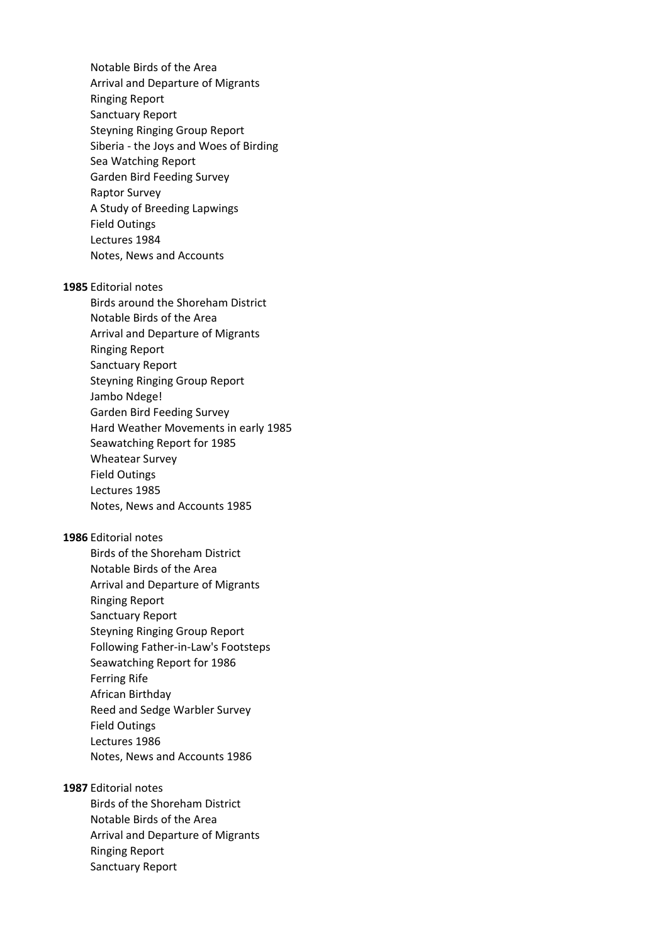Notable Birds of the Area Arrival and Departure of Migrants Ringing Report Sanctuary Report Steyning Ringing Group Report Siberia - the Joys and Woes of Birding Sea Watching Report Garden Bird Feeding Survey Raptor Survey A Study of Breeding Lapwings Field Outings Lectures 1984 Notes, News and Accounts

## **1985** Editorial notes

Birds around the Shoreham District Notable Birds of the Area Arrival and Departure of Migrants Ringing Report Sanctuary Report Steyning Ringing Group Report Jambo Ndege! Garden Bird Feeding Survey Hard Weather Movements in early 1985 Seawatching Report for 1985 Wheatear Survey Field Outings Lectures 1985 Notes, News and Accounts 1985

## **1986** Editorial notes

Birds of the Shoreham District Notable Birds of the Area Arrival and Departure of Migrants Ringing Report Sanctuary Report Steyning Ringing Group Report Following Father-in-Law's Footsteps Seawatching Report for 1986 Ferring Rife African Birthday Reed and Sedge Warbler Survey Field Outings Lectures 1986 Notes, News and Accounts 1986

## **1987** Editorial notes

Birds of the Shoreham District Notable Birds of the Area Arrival and Departure of Migrants Ringing Report Sanctuary Report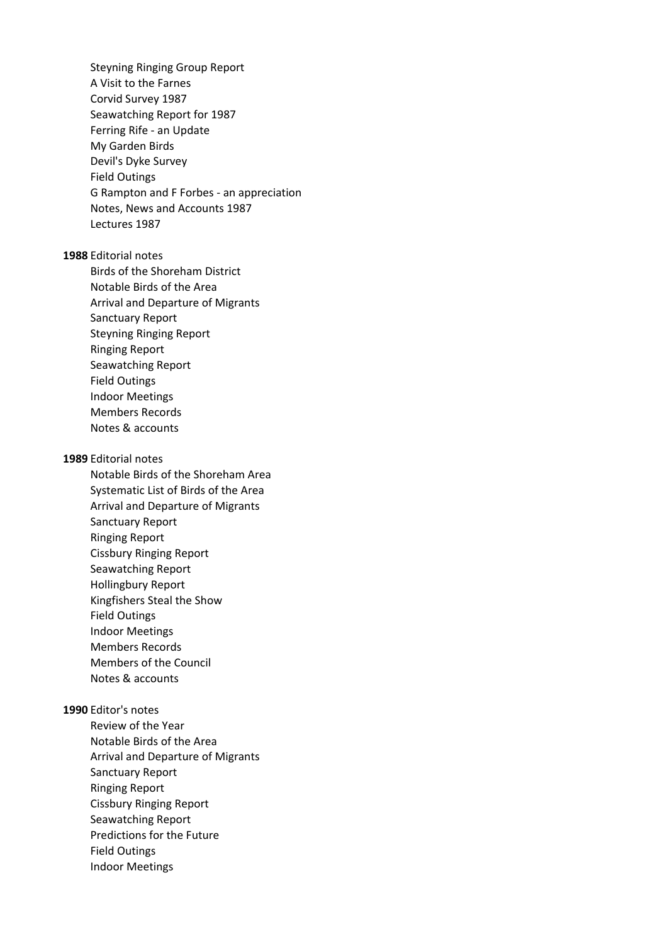Steyning Ringing Group Report A Visit to the Farnes Corvid Survey 1987 Seawatching Report for 1987 Ferring Rife - an Update My Garden Birds Devil's Dyke Survey Field Outings G Rampton and F Forbes - an appreciation Notes, News and Accounts 1987 Lectures 1987 **1988** Editorial notes Birds of the Shoreham District Notable Birds of the Area Arrival and Departure of Migrants Sanctuary Report Steyning Ringing Report Ringing Report Seawatching Report Field Outings Indoor Meetings Members Records Notes & accounts **1989** Editorial notes Notable Birds of the Shoreham Area Systematic List of Birds of the Area Arrival and Departure of Migrants Sanctuary Report Ringing Report Cissbury Ringing Report Seawatching Report Hollingbury Report

Kingfishers Steal the Show

Field Outings

Indoor Meetings

Members Records

Members of the Council

Notes & accounts

# **1990** Editor's notes

Review of the Year Notable Birds of the Area Arrival and Departure of Migrants Sanctuary Report Ringing Report Cissbury Ringing Report Seawatching Report Predictions for the Future Field Outings Indoor Meetings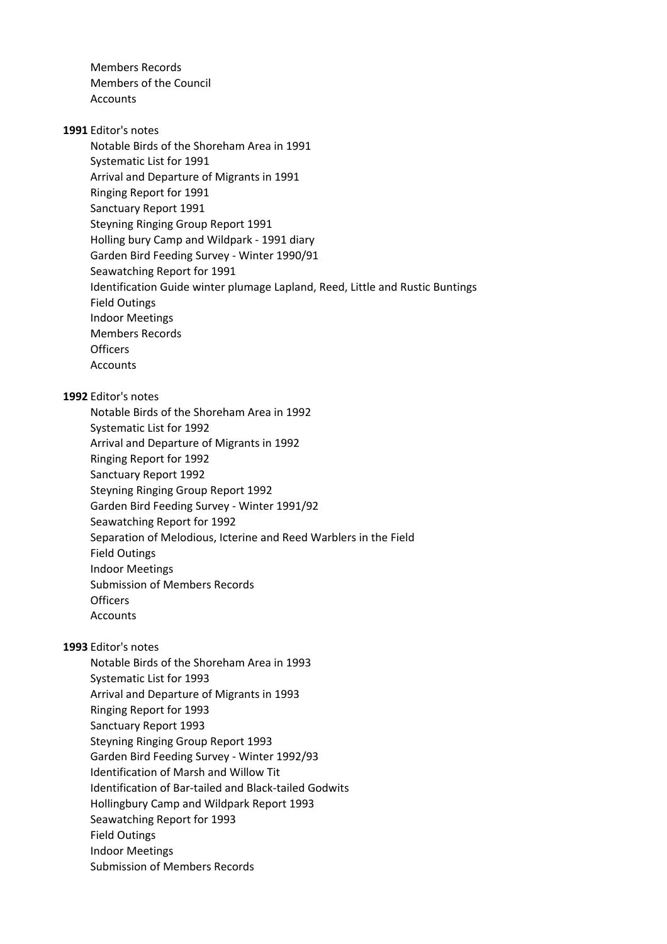Members Records Members of the Council **Accounts** 

## **1991** Editor's notes

Notable Birds of the Shoreham Area in 1991 Systematic List for 1991 Arrival and Departure of Migrants in 1991 Ringing Report for 1991 Sanctuary Report 1991 Steyning Ringing Group Report 1991 Holling bury Camp and Wildpark - 1991 diary Garden Bird Feeding Survey - Winter 1990/91 Seawatching Report for 1991 Identification Guide winter plumage Lapland, Reed, Little and Rustic Buntings Field Outings Indoor Meetings Members Records **Officers** Accounts

**1992** Editor's notes

Notable Birds of the Shoreham Area in 1992 Systematic List for 1992 Arrival and Departure of Migrants in 1992 Ringing Report for 1992 Sanctuary Report 1992 Steyning Ringing Group Report 1992 Garden Bird Feeding Survey - Winter 1991/92 Seawatching Report for 1992 Separation of Melodious, Icterine and Reed Warblers in the Field Field Outings Indoor Meetings Submission of Members Records **Officers** Accounts

# **1993** Editor's notes

Notable Birds of the Shoreham Area in 1993 Systematic List for 1993 Arrival and Departure of Migrants in 1993 Ringing Report for 1993 Sanctuary Report 1993 Steyning Ringing Group Report 1993 Garden Bird Feeding Survey - Winter 1992/93 Identification of Marsh and Willow Tit Identification of Bar-tailed and Black-tailed Godwits Hollingbury Camp and Wildpark Report 1993 Seawatching Report for 1993 Field Outings Indoor Meetings Submission of Members Records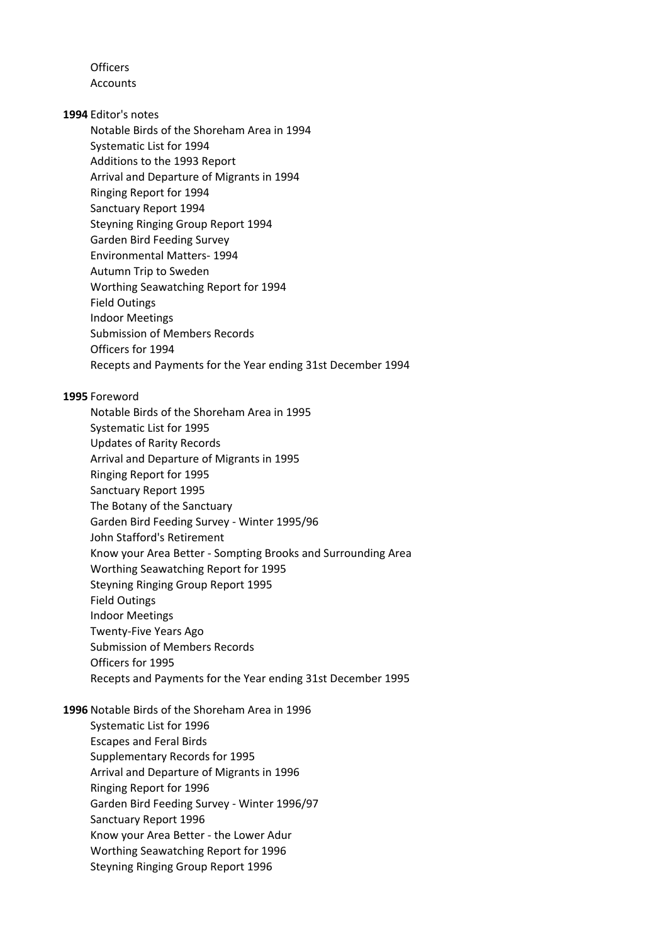**Officers** Accounts

**1994** Editor's notes

Notable Birds of the Shoreham Area in 1994 Systematic List for 1994 Additions to the 1993 Report Arrival and Departure of Migrants in 1994 Ringing Report for 1994 Sanctuary Report 1994 Steyning Ringing Group Report 1994 Garden Bird Feeding Survey Environmental Matters- 1994 Autumn Trip to Sweden Worthing Seawatching Report for 1994 Field Outings

- Indoor Meetings
- 
- Submission of Members Records
- Officers for 1994
- Recepts and Payments for the Year ending 31st December 1994

## **1995** Foreword

Notable Birds of the Shoreham Area in 1995 Systematic List for 1995 Updates of Rarity Records Arrival and Departure of Migrants in 1995 Ringing Report for 1995 Sanctuary Report 1995 The Botany of the Sanctuary Garden Bird Feeding Survey - Winter 1995/96 John Stafford's Retirement Know your Area Better - Sompting Brooks and Surrounding Area Worthing Seawatching Report for 1995 Steyning Ringing Group Report 1995 Field Outings Indoor Meetings Twenty-Five Years Ago Submission of Members Records Officers for 1995 Recepts and Payments for the Year ending 31st December 1995

## **1996** Notable Birds of the Shoreham Area in 1996

Systematic List for 1996 Escapes and Feral Birds Supplementary Records for 1995 Arrival and Departure of Migrants in 1996 Ringing Report for 1996 Garden Bird Feeding Survey - Winter 1996/97 Sanctuary Report 1996 Know your Area Better - the Lower Adur Worthing Seawatching Report for 1996 Steyning Ringing Group Report 1996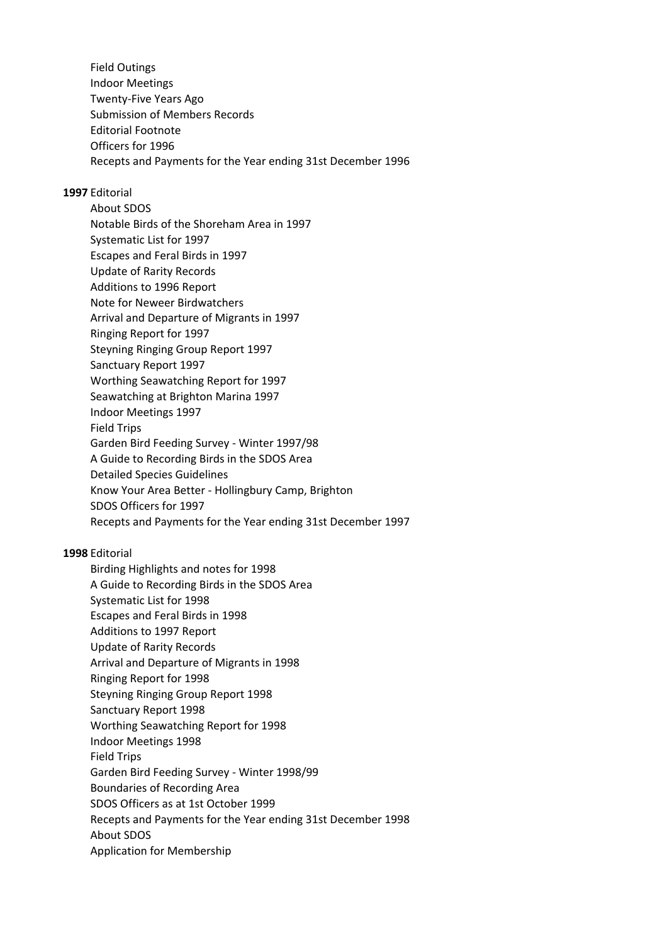Field Outings Indoor Meetings Twenty-Five Years Ago Submission of Members Records Editorial Footnote Officers for 1996 Recepts and Payments for the Year ending 31st December 1996

## **1997** Editorial

About SDOS Notable Birds of the Shoreham Area in 1997 Systematic List for 1997 Escapes and Feral Birds in 1997 Update of Rarity Records Additions to 1996 Report Note for Neweer Birdwatchers Arrival and Departure of Migrants in 1997 Ringing Report for 1997 Steyning Ringing Group Report 1997 Sanctuary Report 1997 Worthing Seawatching Report for 1997 Seawatching at Brighton Marina 1997 Indoor Meetings 1997 Field Trips Garden Bird Feeding Survey - Winter 1997/98 A Guide to Recording Birds in the SDOS Area Detailed Species Guidelines Know Your Area Better - Hollingbury Camp, Brighton SDOS Officers for 1997 Recepts and Payments for the Year ending 31st December 1997

## **1998** Editorial

- Birding Highlights and notes for 1998
- A Guide to Recording Birds in the SDOS Area
- Systematic List for 1998
- Escapes and Feral Birds in 1998
- Additions to 1997 Report
- Update of Rarity Records
- Arrival and Departure of Migrants in 1998
- Ringing Report for 1998
- Steyning Ringing Group Report 1998
- Sanctuary Report 1998
- Worthing Seawatching Report for 1998
- Indoor Meetings 1998
- Field Trips
- Garden Bird Feeding Survey Winter 1998/99
- Boundaries of Recording Area
- SDOS Officers as at 1st October 1999
- Recepts and Payments for the Year ending 31st December 1998
- About SDOS
- Application for Membership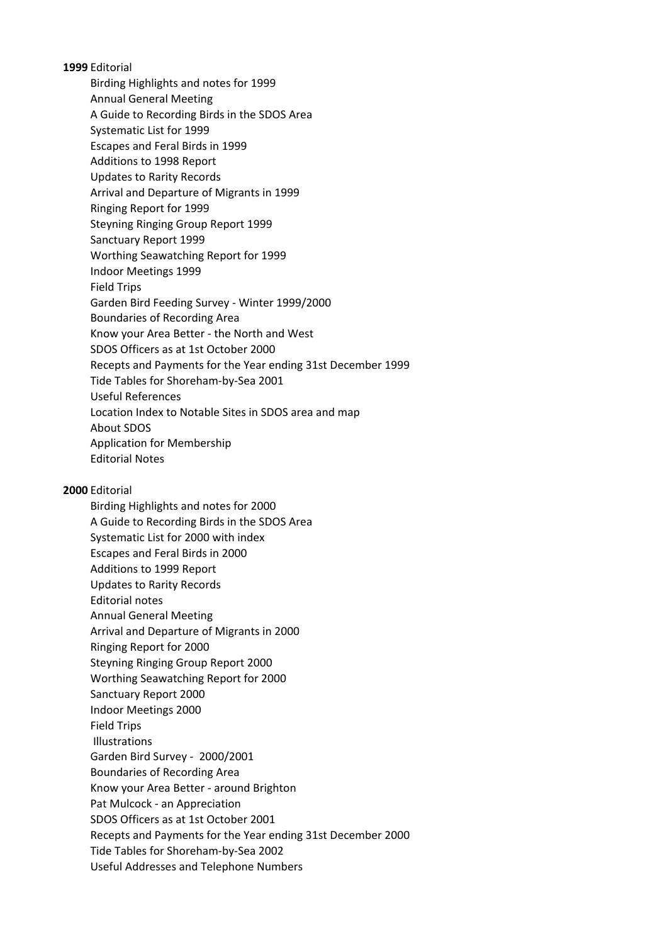**1999** Editorial

Birding Highlights and notes for 1999 Annual General Meeting A Guide to Recording Birds in the SDOS Area Systematic List for 1999 Escapes and Feral Birds in 1999 Additions to 1998 Report Updates to Rarity Records Arrival and Departure of Migrants in 1999 Ringing Report for 1999 Steyning Ringing Group Report 1999 Sanctuary Report 1999 Worthing Seawatching Report for 1999 Indoor Meetings 1999 Field Trips Garden Bird Feeding Survey - Winter 1999/2000 Boundaries of Recording Area Know your Area Better - the North and West SDOS Officers as at 1st October 2000 Recepts and Payments for the Year ending 31st December 1999 Tide Tables for Shoreham-by-Sea 2001 Useful References Location Index to Notable Sites in SDOS area and map About SDOS Application for Membership Editorial Notes

# **2000** Editorial

Birding Highlights and notes for 2000 A Guide to Recording Birds in the SDOS Area Systematic List for 2000 with index Escapes and Feral Birds in 2000 Additions to 1999 Report Updates to Rarity Records Editorial notes Annual General Meeting Arrival and Departure of Migrants in 2000 Ringing Report for 2000 Steyning Ringing Group Report 2000 Worthing Seawatching Report for 2000 Sanctuary Report 2000 Indoor Meetings 2000 Field Trips Illustrations Garden Bird Survey - 2000/2001 Boundaries of Recording Area Know your Area Better - around Brighton Pat Mulcock - an Appreciation SDOS Officers as at 1st October 2001 Recepts and Payments for the Year ending 31st December 2000 Tide Tables for Shoreham-by-Sea 2002 Useful Addresses and Telephone Numbers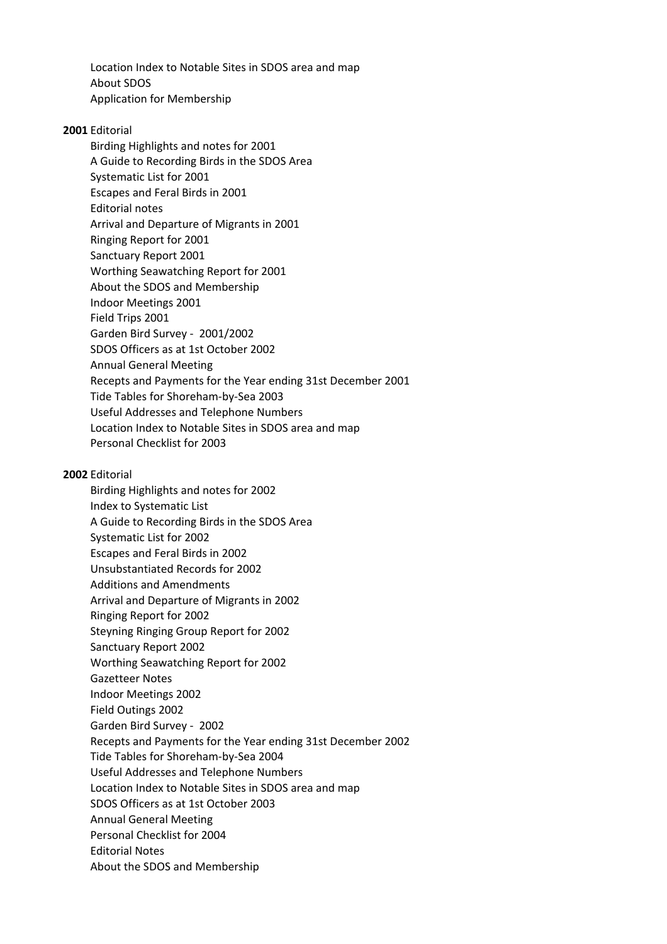Location Index to Notable Sites in SDOS area and map About SDOS Application for Membership

## **2001** Editorial

Birding Highlights and notes for 2001 A Guide to Recording Birds in the SDOS Area Systematic List for 2001 Escapes and Feral Birds in 2001 Editorial notes Arrival and Departure of Migrants in 2001 Ringing Report for 2001 Sanctuary Report 2001 Worthing Seawatching Report for 2001 About the SDOS and Membership Indoor Meetings 2001 Field Trips 2001 Garden Bird Survey - 2001/2002 SDOS Officers as at 1st October 2002 Annual General Meeting Recepts and Payments for the Year ending 31st December 2001 Tide Tables for Shoreham-by-Sea 2003 Useful Addresses and Telephone Numbers Location Index to Notable Sites in SDOS area and map Personal Checklist for 2003

## **2002** Editorial

Birding Highlights and notes for 2002 Index to Systematic List A Guide to Recording Birds in the SDOS Area Systematic List for 2002 Escapes and Feral Birds in 2002 Unsubstantiated Records for 2002 Additions and Amendments Arrival and Departure of Migrants in 2002 Ringing Report for 2002 Steyning Ringing Group Report for 2002 Sanctuary Report 2002 Worthing Seawatching Report for 2002 Gazetteer Notes Indoor Meetings 2002 Field Outings 2002 Garden Bird Survey - 2002 Recepts and Payments for the Year ending 31st December 2002 Tide Tables for Shoreham-by-Sea 2004 Useful Addresses and Telephone Numbers Location Index to Notable Sites in SDOS area and map SDOS Officers as at 1st October 2003 Annual General Meeting Personal Checklist for 2004 Editorial Notes About the SDOS and Membership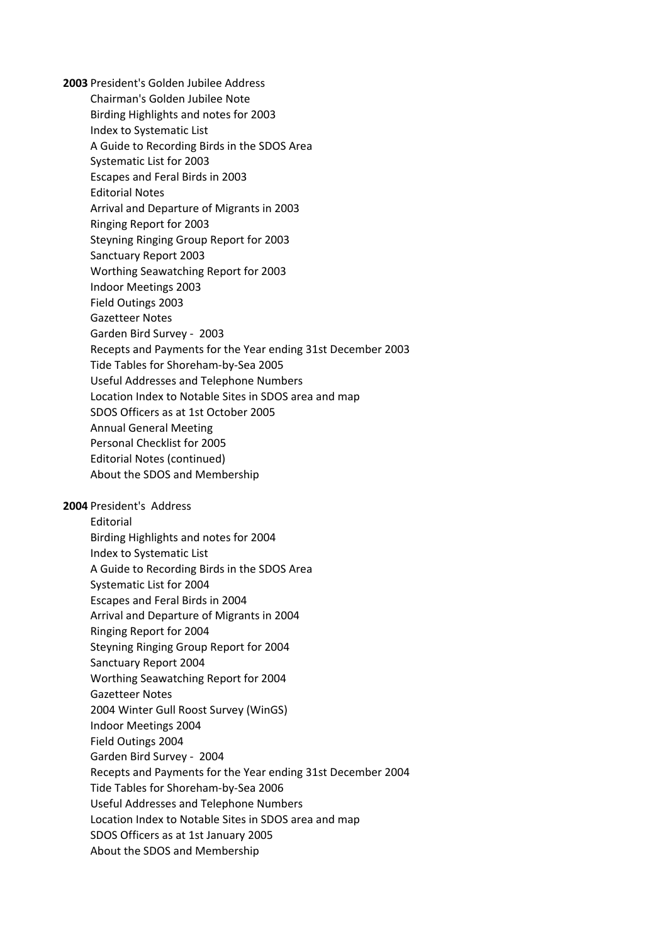**2003** President's Golden Jubilee Address Chairman's Golden Jubilee Note Birding Highlights and notes for 2003 Index to Systematic List A Guide to Recording Birds in the SDOS Area Systematic List for 2003 Escapes and Feral Birds in 2003 Editorial Notes Arrival and Departure of Migrants in 2003 Ringing Report for 2003 Steyning Ringing Group Report for 2003 Sanctuary Report 2003 Worthing Seawatching Report for 2003 Indoor Meetings 2003 Field Outings 2003 Gazetteer Notes Garden Bird Survey - 2003 Recepts and Payments for the Year ending 31st December 2003 Tide Tables for Shoreham-by-Sea 2005 Useful Addresses and Telephone Numbers Location Index to Notable Sites in SDOS area and map SDOS Officers as at 1st October 2005 Annual General Meeting Personal Checklist for 2005 Editorial Notes (continued) About the SDOS and Membership **2004** President's Address Editorial Birding Highlights and notes for 2004 Index to Systematic List A Guide to Recording Birds in the SDOS Area Systematic List for 2004 Escapes and Feral Birds in 2004 Arrival and Departure of Migrants in 2004 Ringing Report for 2004 Steyning Ringing Group Report for 2004 Sanctuary Report 2004 Worthing Seawatching Report for 2004 Gazetteer Notes 2004 Winter Gull Roost Survey (WinGS) Indoor Meetings 2004 Field Outings 2004 Garden Bird Survey - 2004 Recepts and Payments for the Year ending 31st December 2004 Tide Tables for Shoreham-by-Sea 2006 Useful Addresses and Telephone Numbers

Location Index to Notable Sites in SDOS area and map

SDOS Officers as at 1st January 2005

About the SDOS and Membership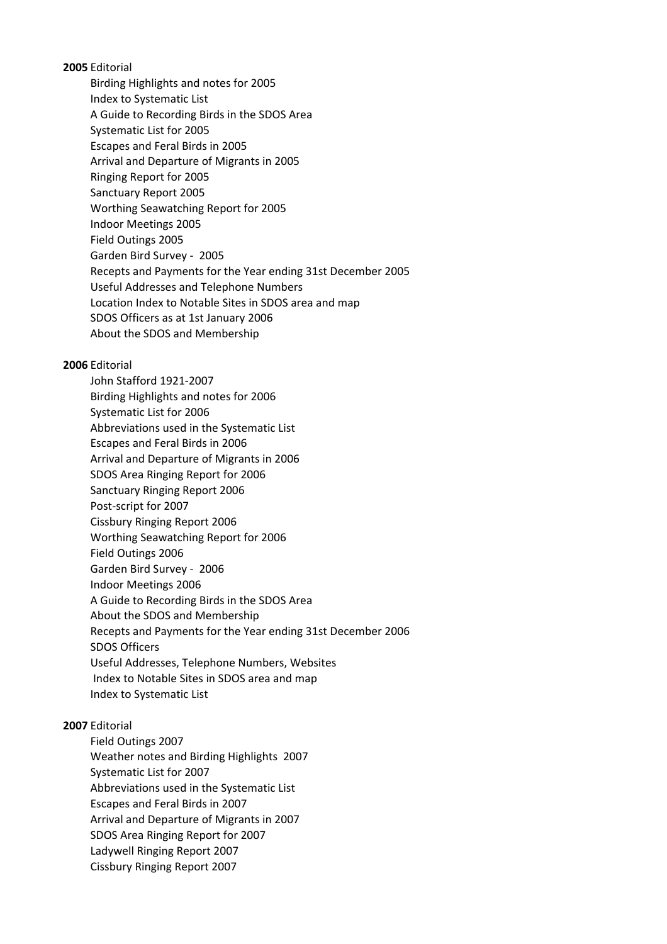**2005** Editorial

Birding Highlights and notes for 2005 Index to Systematic List A Guide to Recording Birds in the SDOS Area Systematic List for 2005 Escapes and Feral Birds in 2005 Arrival and Departure of Migrants in 2005 Ringing Report for 2005 Sanctuary Report 2005 Worthing Seawatching Report for 2005 Indoor Meetings 2005 Field Outings 2005 Garden Bird Survey - 2005 Recepts and Payments for the Year ending 31st December 2005 Useful Addresses and Telephone Numbers Location Index to Notable Sites in SDOS area and map SDOS Officers as at 1st January 2006 About the SDOS and Membership

## **2006** Editorial

John Stafford 1921-2007 Birding Highlights and notes for 2006 Systematic List for 2006 Abbreviations used in the Systematic List Escapes and Feral Birds in 2006 Arrival and Departure of Migrants in 2006 SDOS Area Ringing Report for 2006 Sanctuary Ringing Report 2006 Post-script for 2007 Cissbury Ringing Report 2006 Worthing Seawatching Report for 2006 Field Outings 2006 Garden Bird Survey - 2006 Indoor Meetings 2006 A Guide to Recording Birds in the SDOS Area About the SDOS and Membership Recepts and Payments for the Year ending 31st December 2006 SDOS Officers Useful Addresses, Telephone Numbers, Websites Index to Notable Sites in SDOS area and map Index to Systematic List

# **2007** Editorial

Field Outings 2007 Weather notes and Birding Highlights 2007 Systematic List for 2007 Abbreviations used in the Systematic List Escapes and Feral Birds in 2007 Arrival and Departure of Migrants in 2007 SDOS Area Ringing Report for 2007 Ladywell Ringing Report 2007 Cissbury Ringing Report 2007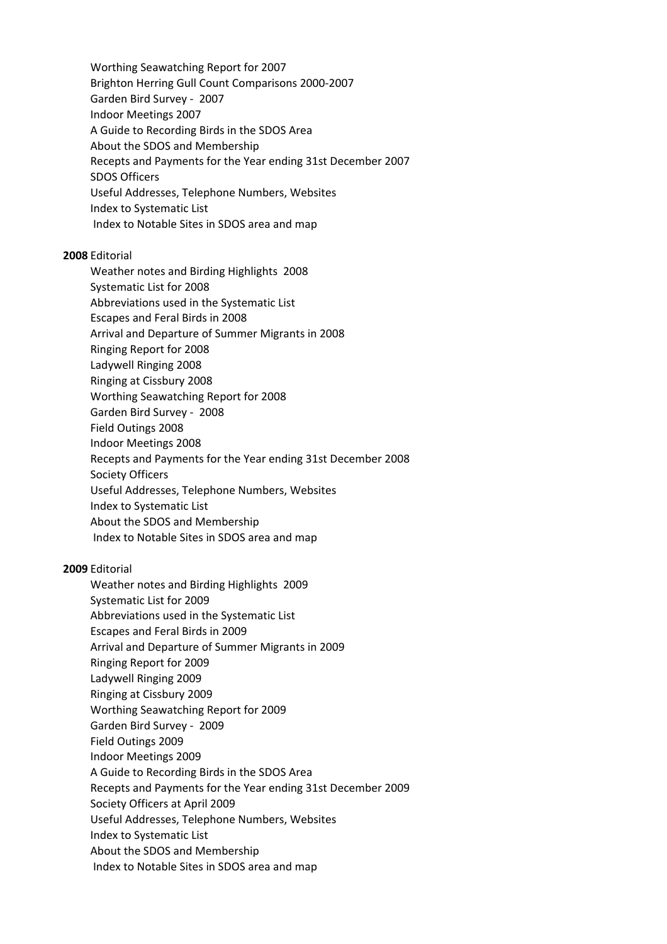Worthing Seawatching Report for 2007 Brighton Herring Gull Count Comparisons 2000-2007 Garden Bird Survey - 2007 Indoor Meetings 2007 A Guide to Recording Birds in the SDOS Area About the SDOS and Membership Recepts and Payments for the Year ending 31st December 2007 SDOS Officers Useful Addresses, Telephone Numbers, Websites Index to Systematic List Index to Notable Sites in SDOS area and map

## **2008** Editorial

Weather notes and Birding Highlights 2008 Systematic List for 2008 Abbreviations used in the Systematic List Escapes and Feral Birds in 2008 Arrival and Departure of Summer Migrants in 2008 Ringing Report for 2008 Ladywell Ringing 2008 Ringing at Cissbury 2008 Worthing Seawatching Report for 2008 Garden Bird Survey - 2008 Field Outings 2008 Indoor Meetings 2008 Recepts and Payments for the Year ending 31st December 2008 Society Officers Useful Addresses, Telephone Numbers, Websites Index to Systematic List About the SDOS and Membership Index to Notable Sites in SDOS area and map

## **2009** Editorial

Weather notes and Birding Highlights 2009 Systematic List for 2009 Abbreviations used in the Systematic List Escapes and Feral Birds in 2009 Arrival and Departure of Summer Migrants in 2009 Ringing Report for 2009 Ladywell Ringing 2009 Ringing at Cissbury 2009 Worthing Seawatching Report for 2009 Garden Bird Survey - 2009 Field Outings 2009 Indoor Meetings 2009 A Guide to Recording Birds in the SDOS Area Recepts and Payments for the Year ending 31st December 2009 Society Officers at April 2009 Useful Addresses, Telephone Numbers, Websites Index to Systematic List About the SDOS and Membership Index to Notable Sites in SDOS area and map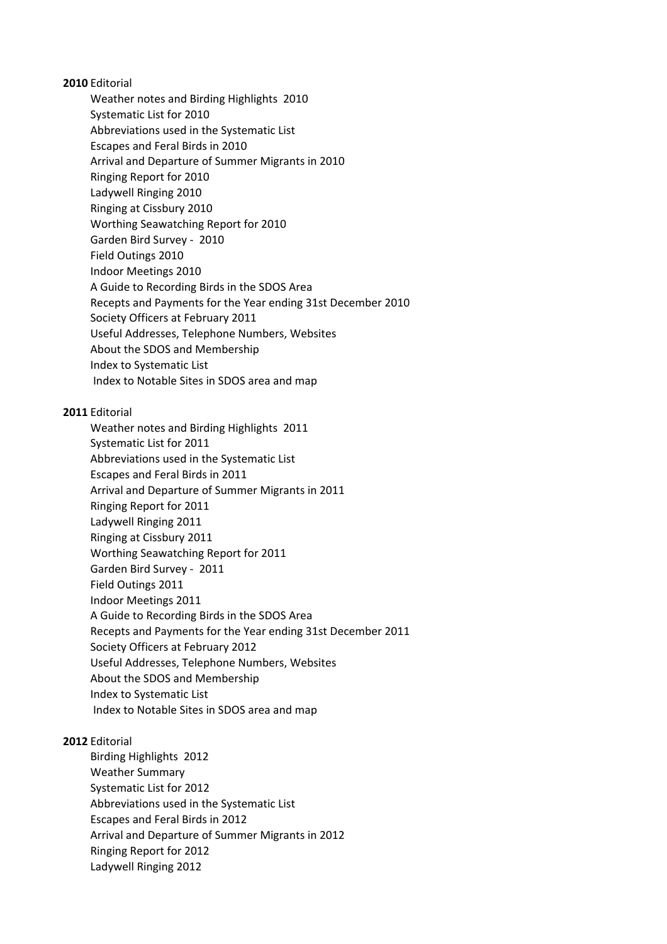**2010** Editorial

Weather notes and Birding Highlights 2010 Systematic List for 2010 Abbreviations used in the Systematic List Escapes and Feral Birds in 2010 Arrival and Departure of Summer Migrants in 2010 Ringing Report for 2010 Ladywell Ringing 2010 Ringing at Cissbury 2010 Worthing Seawatching Report for 2010 Garden Bird Survey - 2010 Field Outings 2010 Indoor Meetings 2010 A Guide to Recording Birds in the SDOS Area Recepts and Payments for the Year ending 31st December 2010 Society Officers at February 2011 Useful Addresses, Telephone Numbers, Websites About the SDOS and Membership Index to Systematic List Index to Notable Sites in SDOS area and map

## **2011** Editorial

Weather notes and Birding Highlights 2011 Systematic List for 2011 Abbreviations used in the Systematic List Escapes and Feral Birds in 2011 Arrival and Departure of Summer Migrants in 2011 Ringing Report for 2011 Ladywell Ringing 2011 Ringing at Cissbury 2011 Worthing Seawatching Report for 2011 Garden Bird Survey - 2011 Field Outings 2011 Indoor Meetings 2011 A Guide to Recording Birds in the SDOS Area Recepts and Payments for the Year ending 31st December 2011 Society Officers at February 2012 Useful Addresses, Telephone Numbers, Websites About the SDOS and Membership Index to Systematic List Index to Notable Sites in SDOS area and map

# **2012** Editorial

Birding Highlights 2012 Weather Summary Systematic List for 2012 Abbreviations used in the Systematic List Escapes and Feral Birds in 2012 Arrival and Departure of Summer Migrants in 2012 Ringing Report for 2012 Ladywell Ringing 2012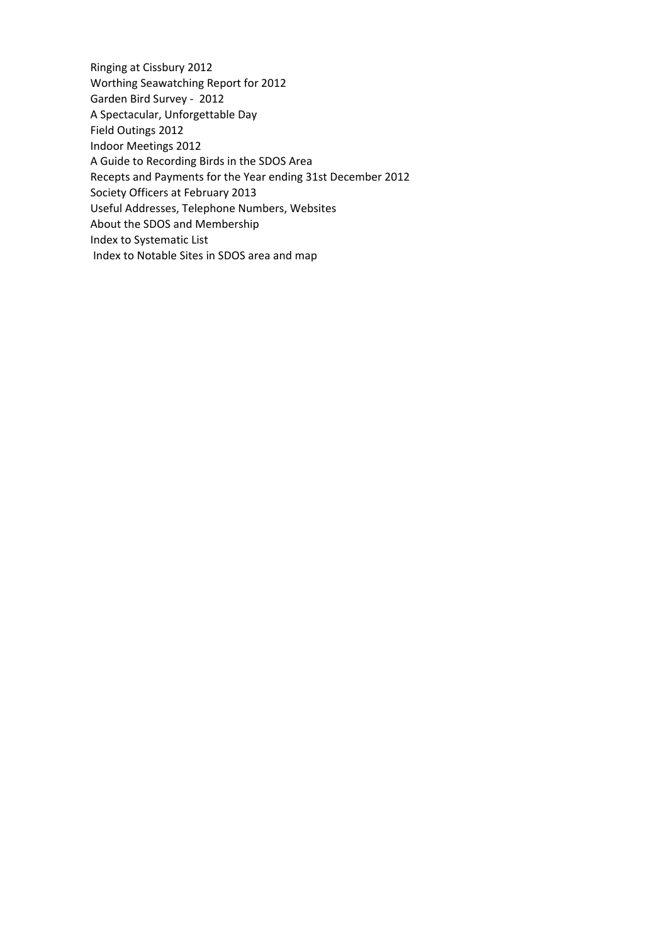Ringing at Cissbury 2012 Worthing Seawatching Report for 2012 Garden Bird Survey - 2012 A Spectacular, Unforgettable Day Field Outings 2012 Indoor Meetings 2012 A Guide to Recording Birds in the SDOS Area Recepts and Payments for the Year ending 31st December 2012 Society Officers at February 2013 Useful Addresses, Telephone Numbers, Websites About the SDOS and Membership Index to Systematic List Index to Notable Sites in SDOS area and map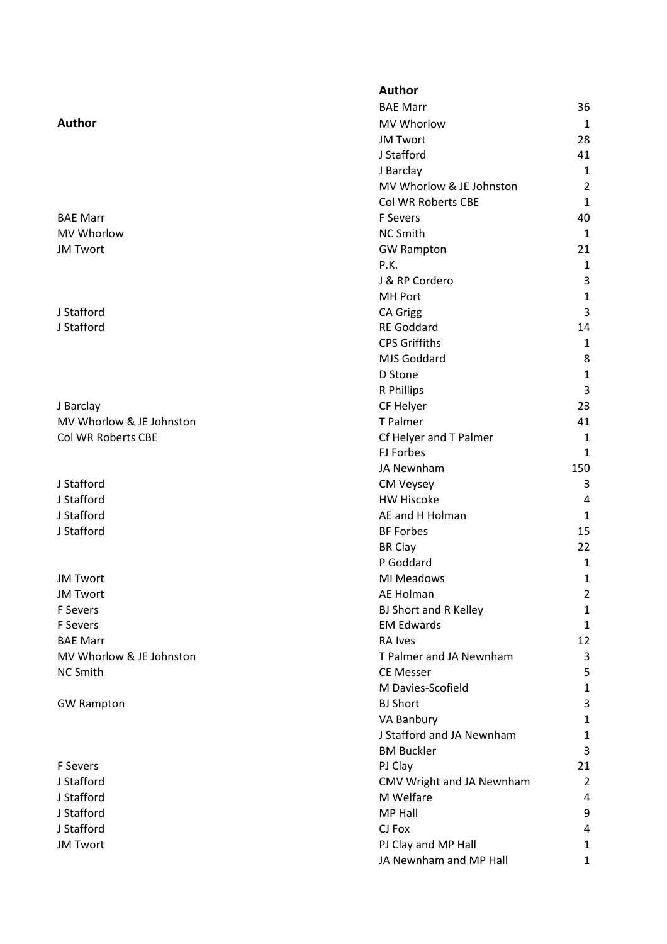J Stafford

J Stafford J Stafford J Stafford

J Stafford J Stafford J Stafford

## **Author**

|                          | <b>BAE Marr</b>              | 36             |
|--------------------------|------------------------------|----------------|
| Author                   | MV Whorlow                   | 1              |
|                          | <b>JM Twort</b>              | 28             |
|                          | J Stafford                   | 41             |
|                          | J Barclay                    | $\mathbf{1}$   |
|                          | MV Whorlow & JE Johnston     | $\overline{2}$ |
|                          | Col WR Roberts CBE           | $\mathbf{1}$   |
| <b>BAE Marr</b>          | F Severs                     | 40             |
| MV Whorlow               | <b>NC Smith</b>              | $\mathbf{1}$   |
| <b>JM Twort</b>          | <b>GW Rampton</b>            | 21             |
|                          | P.K.                         | $\mathbf{1}$   |
|                          | J & RP Cordero               | 3              |
|                          | <b>MH Port</b>               | $\mathbf{1}$   |
| J Stafford               | <b>CA Grigg</b>              | 3              |
| J Stafford               | <b>RE Goddard</b>            | 14             |
|                          | <b>CPS Griffiths</b>         | 1              |
|                          | MJS Goddard                  | 8              |
|                          | D Stone                      | $\mathbf{1}$   |
|                          | R Phillips                   | 3              |
| J Barclay                | CF Helyer                    | 23             |
| MV Whorlow & JE Johnston | T Palmer                     | 41             |
| Col WR Roberts CBE       | Cf Helyer and T Palmer       | 1              |
|                          | <b>FJ Forbes</b>             | $\mathbf{1}$   |
|                          | JA Newnham                   | 150            |
| J Stafford               | CM Veysey                    | 3              |
| J Stafford               | <b>HW Hiscoke</b>            | 4              |
| J Stafford               | AE and H Holman              | 1              |
| J Stafford               | <b>BF Forbes</b>             | 15             |
|                          | <b>BR Clay</b>               | 22             |
|                          | P Goddard                    | 1              |
| <b>JM Twort</b>          | MI Meadows                   | 1              |
| JM Twort                 | AE Holman                    | 2              |
| F Severs                 | <b>BJ Short and R Kelley</b> | $\mathbf{1}$   |
| F Severs                 | <b>EM Edwards</b>            | $\mathbf{1}$   |
| <b>BAE Marr</b>          | RA Ives                      | 12             |
| MV Whorlow & JE Johnston | T Palmer and JA Newnham      | 3              |
| <b>NC Smith</b>          | <b>CE Messer</b>             | 5              |
|                          | M Davies-Scofield            | $\mathbf{1}$   |
| <b>GW Rampton</b>        | <b>BJ Short</b>              | 3              |
|                          | <b>VA Banbury</b>            | $\mathbf{1}$   |
|                          | J Stafford and JA Newnham    | $\mathbf{1}$   |
|                          | <b>BM Buckler</b>            | 3              |
| F Severs                 | PJ Clay                      | 21             |
| J Stafford               | CMV Wright and JA Newnham    | $\overline{2}$ |
| J Stafford               | M Welfare                    | 4              |
| J Stafford               | MP Hall                      | 9              |
| J Stafford               | CJ Fox                       | 4              |
| JM Twort                 | PJ Clay and MP Hall          | 1              |
|                          | JA Newnham and MP Hall       | 1              |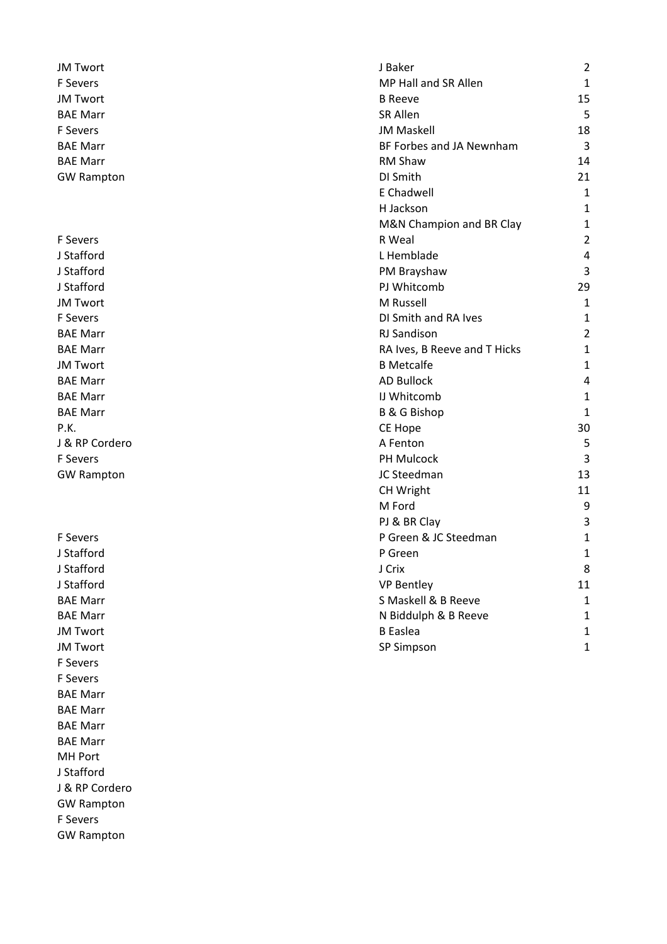JM Twort **BAE Marr GW Rampton** 

J Stafford J Stafford **BAE Marr BAE Marr** JM Twort JM Twort F Severs F Severs BAE Marr BAE Marr BAE Marr BAE Marr MH Port J Stafford J & RP Cordero GW Rampton F Severs GW Rampton

| <b>JM Twort</b>   | J Baker                      | $\overline{2}$ |
|-------------------|------------------------------|----------------|
| <b>F</b> Severs   | MP Hall and SR Allen         | $\mathbf{1}$   |
| <b>JM Twort</b>   | <b>B</b> Reeve               | 15             |
| <b>BAE Marr</b>   | SR Allen                     | 5              |
| <b>F</b> Severs   | <b>JM Maskell</b>            | 18             |
| <b>BAE Marr</b>   | BF Forbes and JA Newnham     | 3              |
| <b>BAE Marr</b>   | RM Shaw                      | 14             |
| <b>GW Rampton</b> | DI Smith                     | 21             |
|                   | E Chadwell                   | $\mathbf{1}$   |
|                   | H Jackson                    | $\mathbf{1}$   |
|                   | M&N Champion and BR Clay     | $\mathbf{1}$   |
| <b>F</b> Severs   | R Weal                       | $\overline{2}$ |
| J Stafford        | L Hemblade                   | 4              |
| J Stafford        | PM Brayshaw                  | 3              |
| J Stafford        | PJ Whitcomb                  | 29             |
| <b>JM Twort</b>   | M Russell                    | $\mathbf{1}$   |
| <b>F</b> Severs   | DI Smith and RA Ives         | $\mathbf{1}$   |
| <b>BAE Marr</b>   | RJ Sandison                  | $\overline{2}$ |
| <b>BAE Marr</b>   | RA Ives, B Reeve and T Hicks | $\mathbf{1}$   |
| <b>JM Twort</b>   | <b>B</b> Metcalfe            | $\mathbf{1}$   |
| <b>BAE Marr</b>   | <b>AD Bullock</b>            | 4              |
| <b>BAE Marr</b>   | IJ Whitcomb                  | 1              |
| <b>BAE Marr</b>   | B & G Bishop                 | $\mathbf{1}$   |
| P.K.              | CE Hope                      | 30             |
| J & RP Cordero    | A Fenton                     | 5              |
| <b>F</b> Severs   | PH Mulcock                   | 3              |
| <b>GW Rampton</b> | JC Steedman                  | 13             |
|                   | CH Wright                    | 11             |
|                   | M Ford                       | 9              |
|                   | PJ & BR Clay                 | 3              |
| <b>F</b> Severs   | P Green & JC Steedman        | $\mathbf{1}$   |
| J Stafford        | P Green                      | $\mathbf{1}$   |
| J Stafford        | J Crix                       | 8              |
| J Stafford        | <b>VP Bentley</b>            | 11             |
| <b>BAE Marr</b>   | S Maskell & B Reeve          | 1              |
| <b>BAE Marr</b>   | N Biddulph & B Reeve         | 1              |
| JM Twort          | <b>B</b> Easlea              | $\mathbf{1}$   |
| JM Twort          | SP Simpson                   | $\mathbf{1}$   |
|                   |                              |                |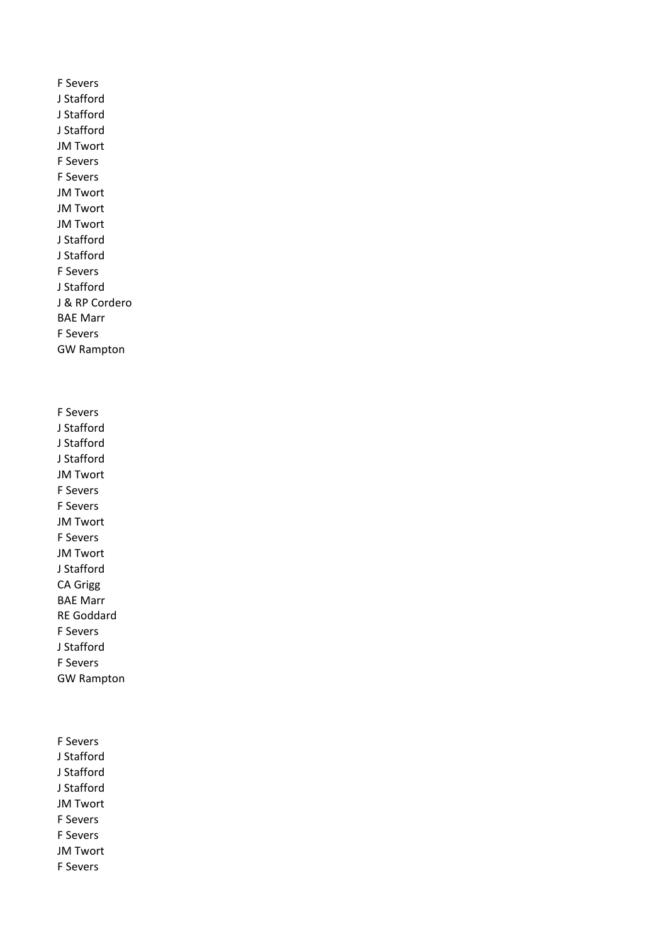F Severs J Stafford J Stafford J Stafford JM Twort F Severs F Severs JM Twort JM Twort JM Twort J Stafford J Stafford F Severs J Stafford J & RP Cordero BAE Marr F Severs GW Rampton

F Severs J Stafford J Stafford J Stafford JM Twort F Severs F Severs JM Twort F Severs JM Twort J Stafford CA Grigg BAE Marr RE Goddard F Severs J Stafford F Severs GW Rampton

F Severs J Stafford J Stafford J Stafford JM Twort F Severs F Severs JM Twort F Severs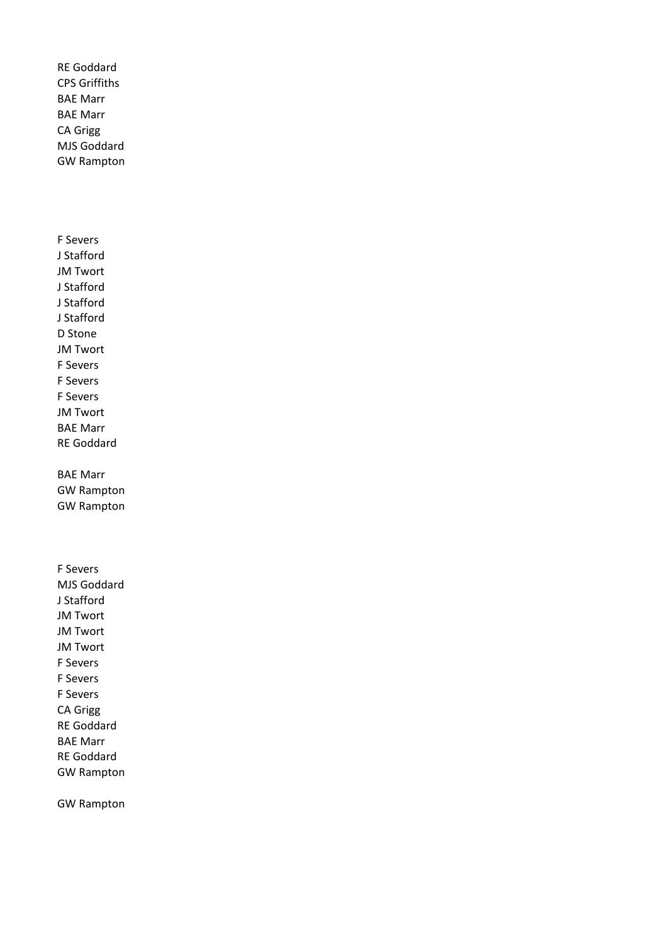RE Goddard CPS Griffiths BAE Marr BAE Marr CA Grigg MJS Goddard GW Rampton

F Severs J Stafford JM Twort J Stafford J Stafford J Stafford D Stone JM Twort F Severs F Severs F Severs JM Twort BAE Marr RE Goddard BAE Marr GW Rampton GW Rampton F Severs MJS Goddard J Stafford JM Twort JM Twort JM Twort F Severs F Severs F Severs CA Grigg

RE Goddard BAE Marr RE Goddard GW Rampton

GW Rampton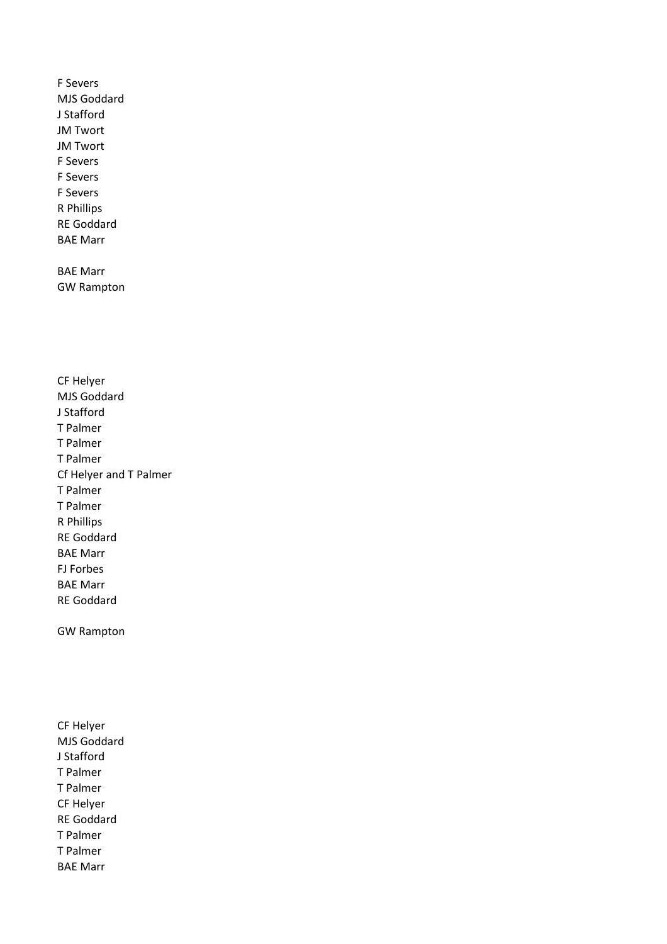F Severs MJS Goddard J Stafford JM Twort JM Twort F Severs F Severs F Severs R Phillips RE Goddard BAE Marr

BAE Marr GW Rampton

CF Helyer MJS Goddard J Stafford T Palmer T Palmer T Palmer Cf Helyer and T Palmer T Palmer T Palmer R Phillips RE Goddard BAE Marr FJ Forbes BAE Marr RE Goddard

GW Rampton

CF Helyer MJS Goddard J Stafford T Palmer T Palmer CF Helyer RE Goddard T Palmer T Palmer BAE Marr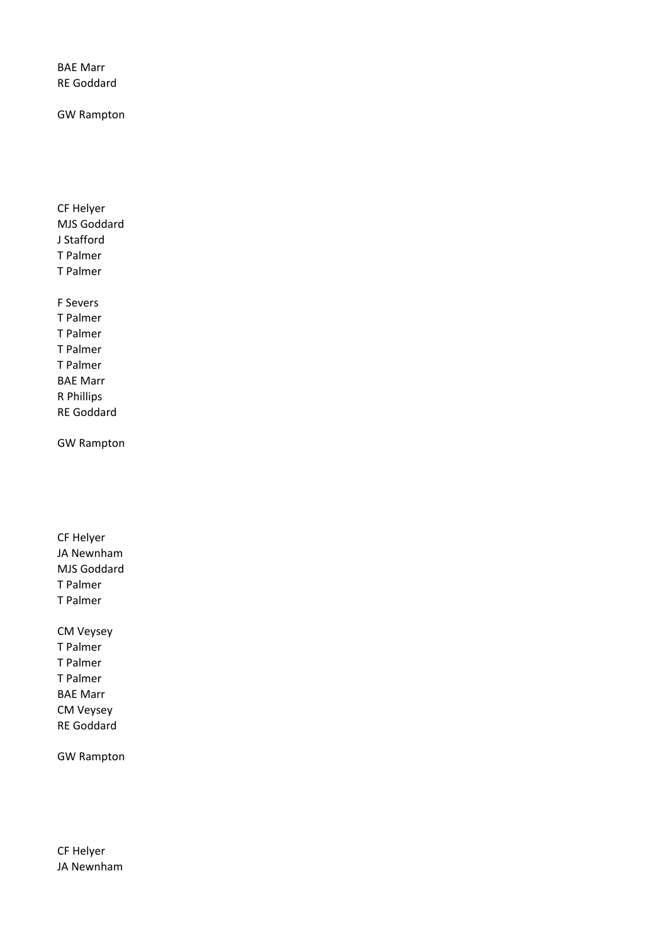BAE Marr RE Goddard

GW Rampton

CF Helyer MJS Goddard J Stafford T Palmer T Palmer F Severs

T Palmer T Palmer T Palmer T Palmer BAE Marr R Phillips RE Goddard

GW Rampton

CF Helyer JA Newnham MJS Goddard T Palmer T Palmer

CM Veysey T Palmer T Palmer T Palmer BAE Marr CM Veysey RE Goddard

GW Rampton

CF Helyer JA Newnham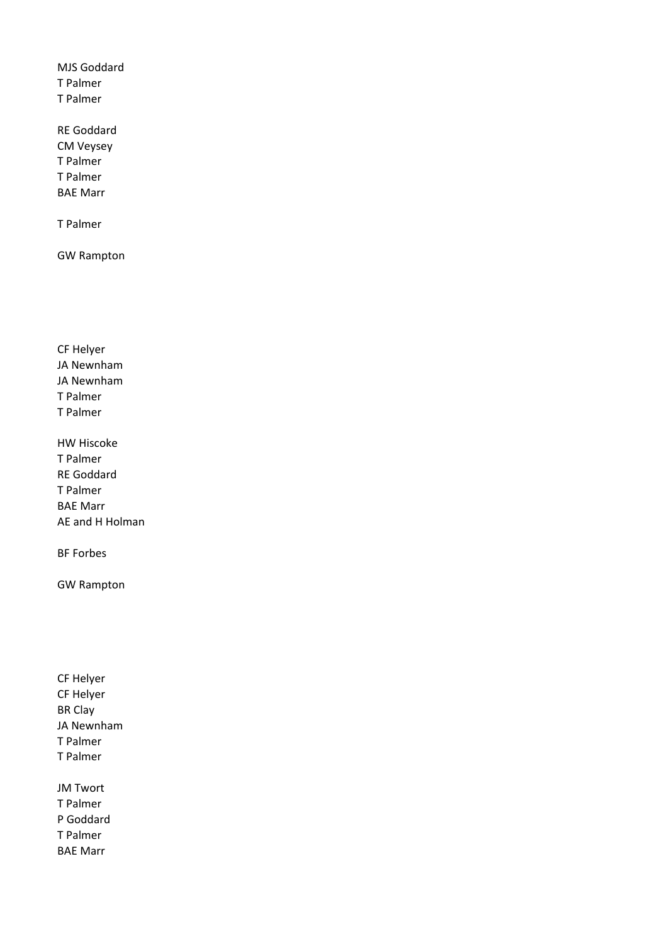MJS Goddard T Palmer T Palmer

RE Goddard CM Veysey T Palmer T Palmer BAE Marr

T Palmer

GW Rampton

CF Helyer JA Newnham JA Newnham T Palmer T Palmer

HW Hiscoke T Palmer RE Goddard T Palmer BAE Marr AE and H Holman

BF Forbes

GW Rampton

CF Helyer CF Helyer BR Clay JA Newnham T Palmer T Palmer

JM Twort T Palmer P Goddard T Palmer BAE Marr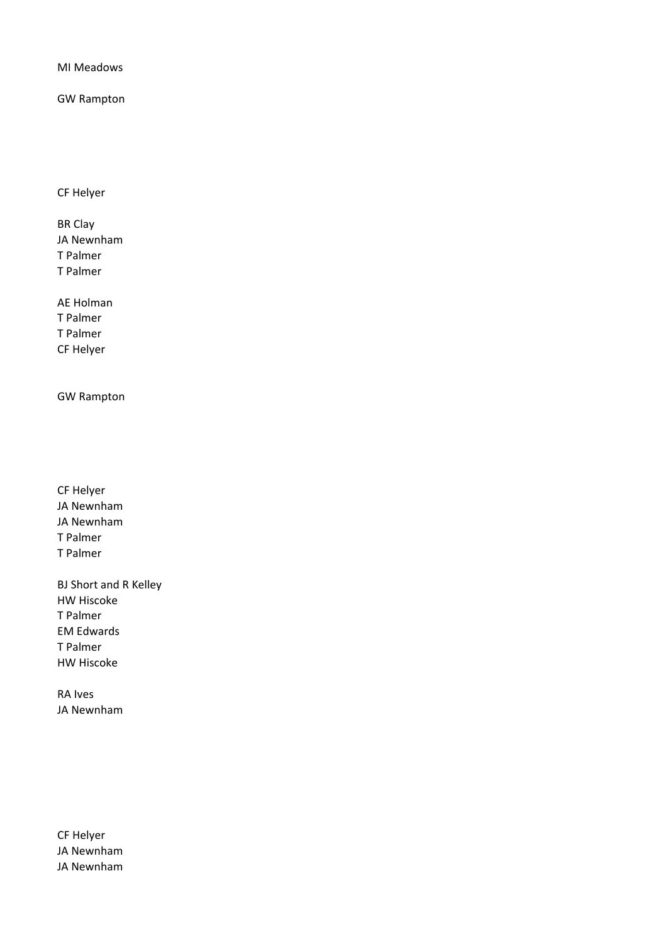MI Meadows

GW Rampton

CF Helyer

BR Clay JA Newnham T Palmer T Palmer

AE Holman T Palmer T Palmer CF Helyer

GW Rampton

- CF Helyer JA Newnham JA Newnham T Palmer T Palmer
- BJ Short and R Kelley HW Hiscoke T Palmer EM Edwards T Palmer HW Hiscoke

RA Ives JA Newnham

CF Helyer JA Newnham JA Newnham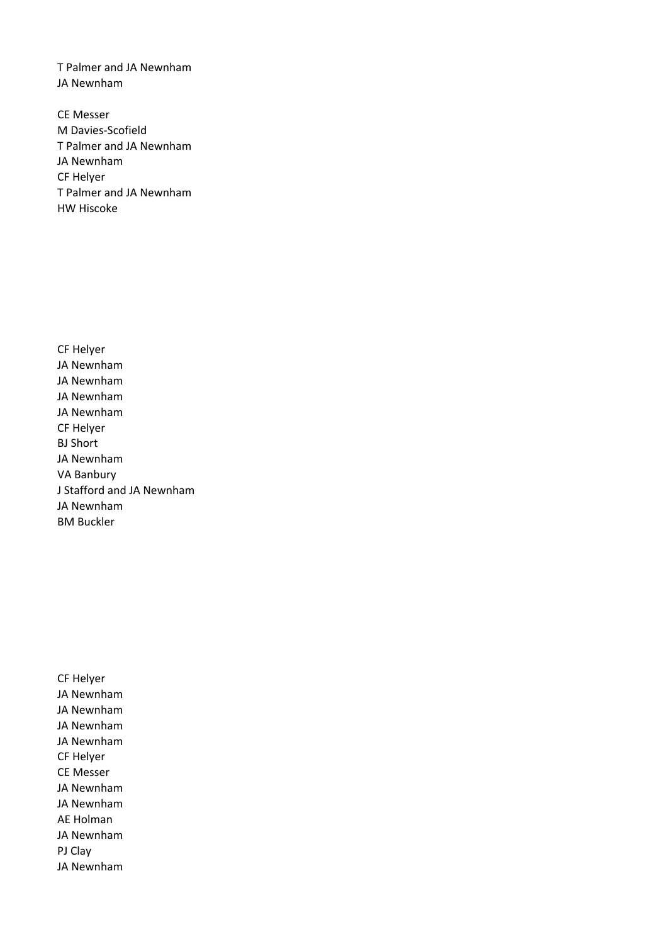T Palmer and JA Newnham JA Newnham

CE Messer M Davies-Scofield T Palmer and JA Newnham JA Newnham CF Helyer T Palmer and JA Newnham HW Hiscoke

CF Helyer JA Newnham JA Newnham JA Newnham JA Newnham CF Helyer BJ Short JA Newnham VA Banbury J Stafford and JA Newnham JA Newnham BM Buckler

CF Helyer JA Newnham JA Newnham JA Newnham JA Newnham CF Helyer CE Messer JA Newnham JA Newnham AE Holman JA Newnham PJ Clay JA Newnham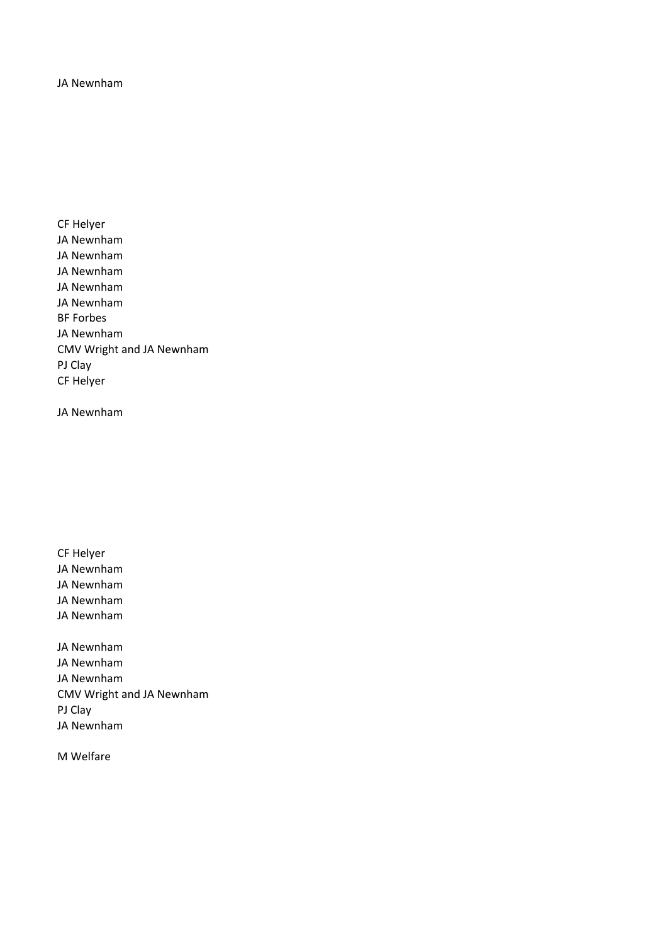# JA Newnham

CF Helyer JA Newnham JA Newnham JA Newnham JA Newnham JA Newnham BF Forbes JA Newnham CMV Wright and JA Newnham PJ Clay CF Helyer

JA Newnham

CF Helyer JA Newnham JA Newnham JA Newnham JA Newnham JA Newnham JA Newnham

JA Newnham CMV Wright and JA Newnham PJ Clay JA Newnham

M Welfare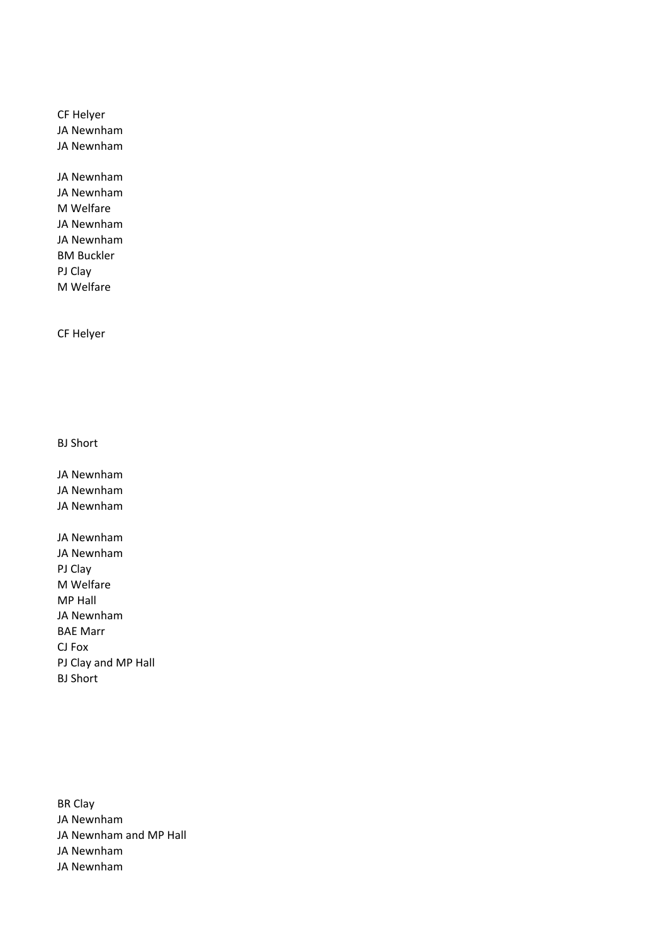CF Helyer JA Newnham JA Newnham

JA Newnham JA Newnham M Welfare JA Newnham JA Newnham BM Buckler PJ Clay M Welfare

CF Helyer

BJ Short

JA Newnham JA Newnham JA Newnham JA Newnham JA Newnham PJ Clay M Welfare MP Hall JA Newnham BAE Marr CJ Fox PJ Clay and MP Hall BJ Short

BR Clay JA Newnham JA Newnham and MP Hall JA Newnham JA Newnham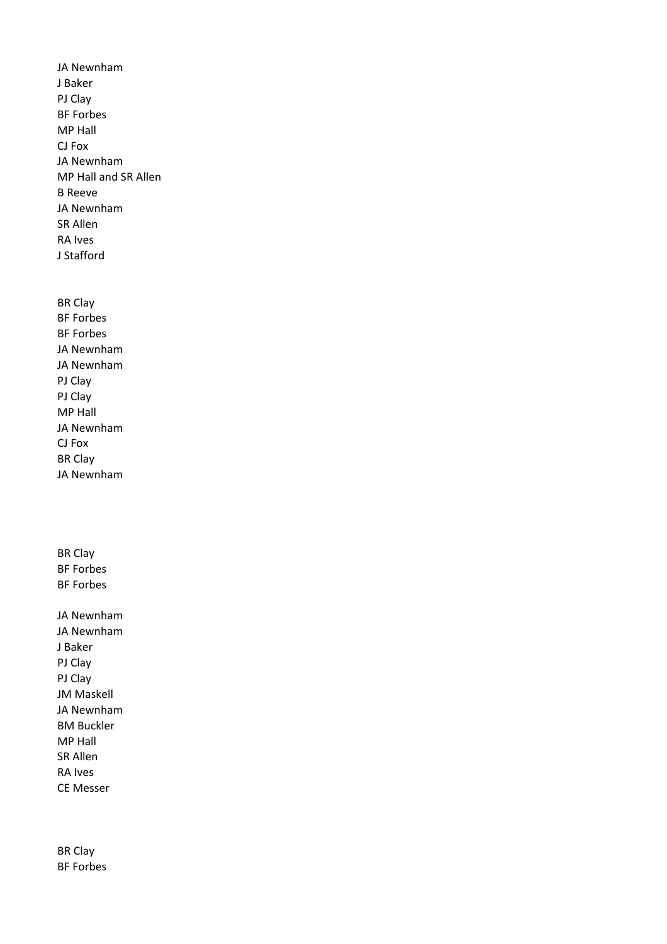JA Newnham J Baker PJ Clay BF Forbes MP Hall CJ Fox JA Newnham MP Hall and SR Allen B Reeve JA Newnham SR Allen RA Ives J Stafford

BR Clay BF Forbes BF Forbes JA Newnham JA Newnham PJ Clay PJ Clay MP Hall JA Newnham CJ Fox BR Clay JA Newnham

BR Clay BF Forbes BF Forbes

JA Newnham JA Newnham J Baker PJ Clay PJ Clay JM Maskell JA Newnham BM Buckler MP Hall SR Allen RA Ives CE Messer

BR Clay BF Forbes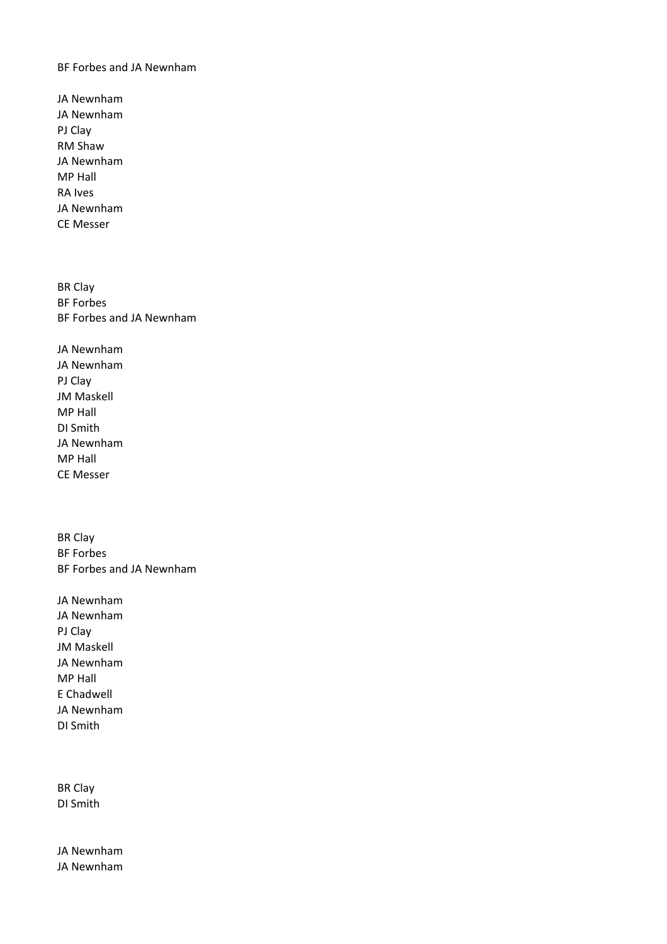BF Forbes and JA Newnham

JA Newnham JA Newnham PJ Clay RM Shaw JA Newnham MP Hall RA Ives JA Newnham CE Messer

BR Clay BF Forbes BF Forbes and JA Newnham

JA Newnham JA Newnham PJ Clay JM Maskell MP Hall DI Smith JA Newnham MP Hall CE Messer

BR Clay BF Forbes BF Forbes and JA Newnham

JA Newnham JA Newnham PJ Clay JM Maskell JA Newnham MP Hall E Chadwell JA Newnham DI Smith

BR Clay DI Smith

JA Newnham JA Newnham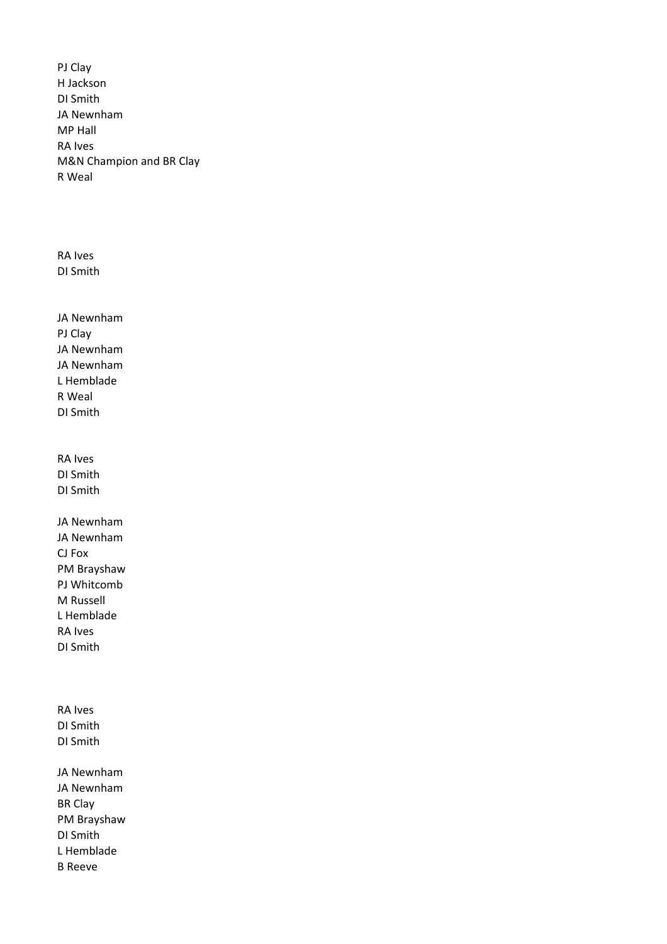PJ Clay H Jackson DI Smith JA Newnham MP Hall RA Ives M&N Champion and BR Clay R Weal

RA Ives DI Smith

JA Newnham PJ Clay JA Newnham JA Newnham L Hemblade R Weal DI Smith

RA Ives DI Smith DI Smith

JA Newnham JA Newnham CJ Fox PM Brayshaw PJ Whitcomb M Russell L Hemblade RA Ives DI Smith

RA Ives DI Smith DI Smith

JA Newnham JA Newnham BR Clay PM Brayshaw DI Smith L Hemblade B Reeve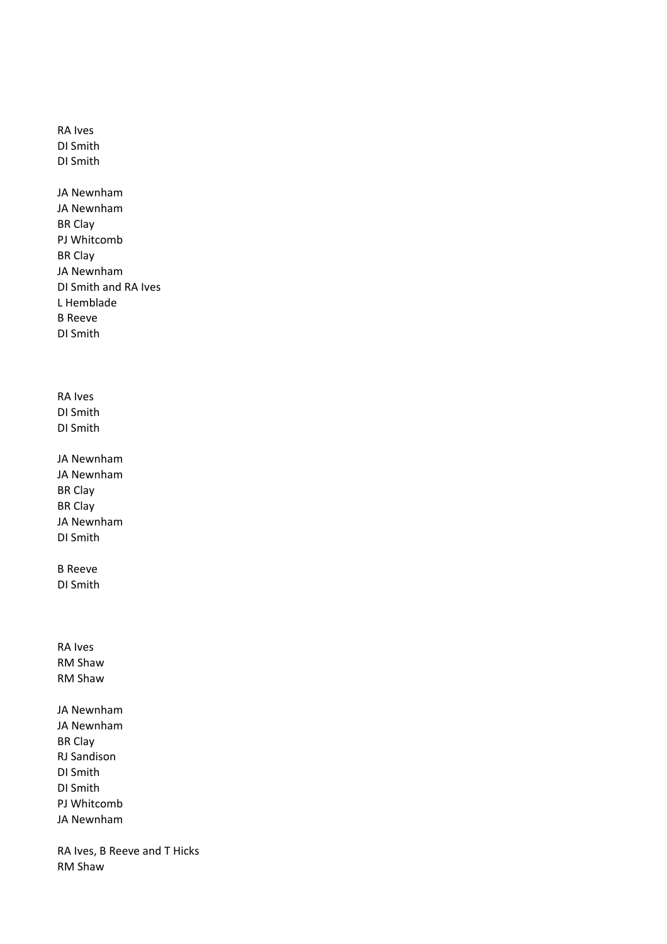RA Ives DI Smith DI Smith JA Newnham JA Newnham BR Clay PJ Whitcomb BR Clay JA Newnham DI Smith and RA Ives L Hemblade B Reeve DI Smith RA Ives DI Smith DI Smith JA Newnham JA Newnham BR Clay BR Clay JA Newnham DI Smith B Reeve DI Smith RA Ives RM Shaw RM Shaw JA Newnham JA Newnham BR Clay RJ Sandison DI Smith DI Smith PJ Whitcomb JA Newnham

RA Ives, B Reeve and T Hicks RM Shaw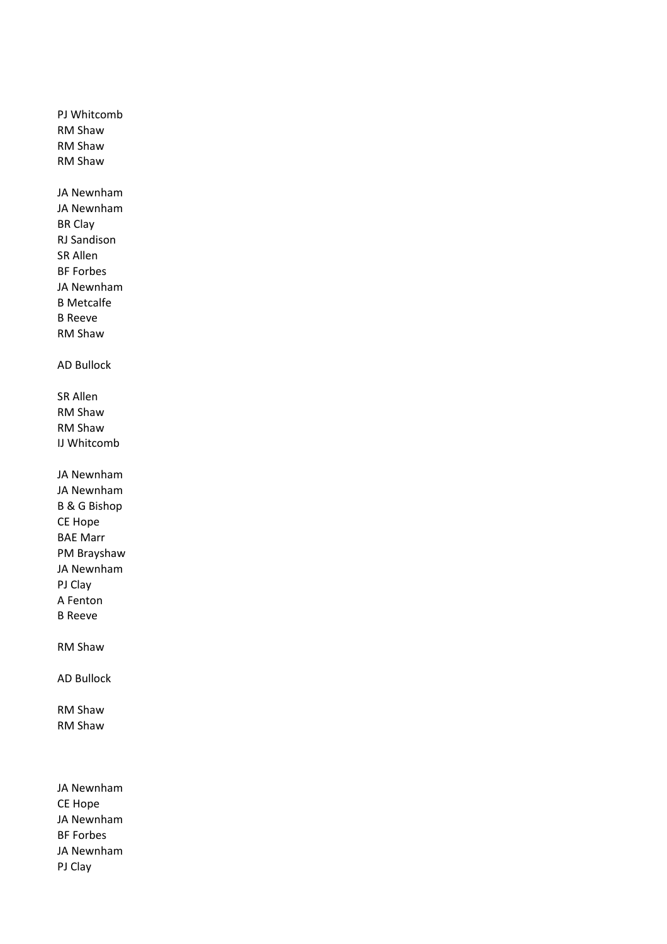PJ Whitcomb RM Shaw RM Shaw RM Shaw JA Newnham JA Newnham BR Clay RJ Sandison SR Allen BF Forbes JA Newnham B Metcalfe B Reeve RM Shaw AD Bullock SR Allen RM Shaw RM Shaw IJ Whitcomb JA Newnham JA Newnham B & G Bishop CE Hope BAE Marr PM Brayshaw JA Newnham PJ Clay A Fenton B Reeve RM Shaw AD Bullock RM Shaw RM Shaw

JA Newnham CE Hope JA Newnham BF Forbes JA Newnham PJ Clay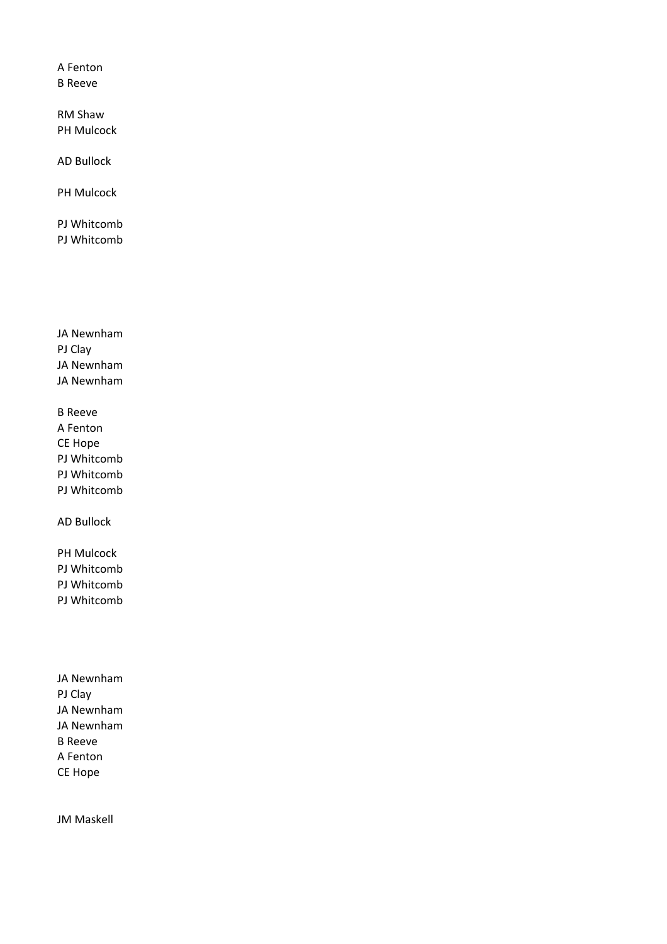# A Fenton B Reeve

RM Shaw PH Mulcock

AD Bullock

PH Mulcock

PJ Whitcomb PJ Whitcomb

JA Newnham PJ Clay JA Newnham JA Newnham

B Reeve A Fenton CE Hope PJ Whitcomb PJ Whitcomb PJ Whitcomb

AD Bullock

PH Mulcock PJ Whitcomb PJ Whitcomb PJ Whitcomb

JA Newnham PJ Clay JA Newnham JA Newnham B Reeve A Fenton CE Hope

JM Maskell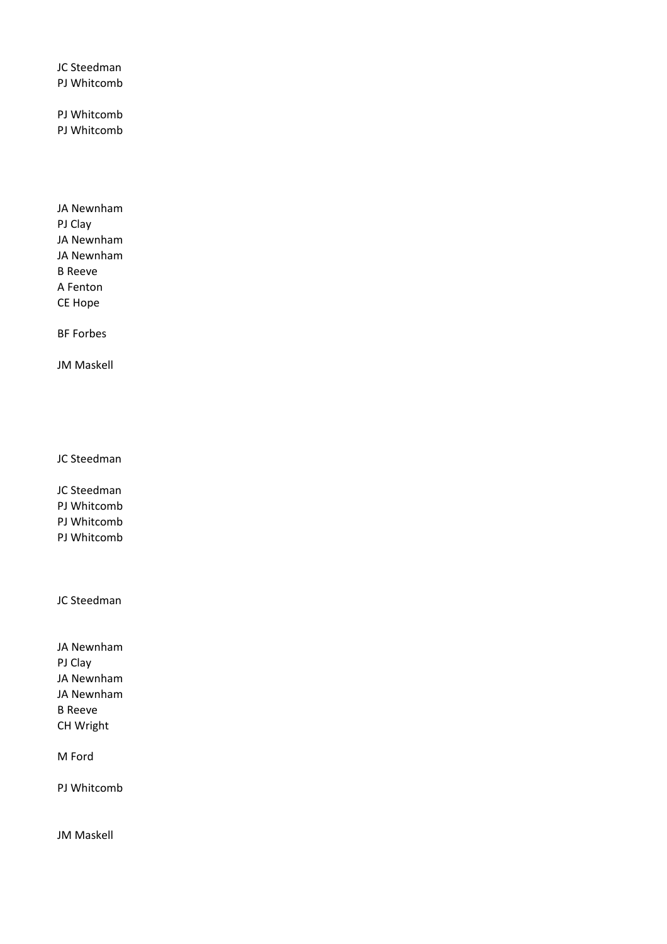JC Steedman PJ Whitcomb

PJ Whitcomb PJ Whitcomb

JA Newnham PJ Clay JA Newnham JA Newnham B Reeve A Fenton CE Hope

BF Forbes

JM Maskell

JC Steedman

JC Steedman PJ Whitcomb

PJ Whitcomb

PJ Whitcomb

JC Steedman

JA Newnham PJ Clay JA Newnham JA Newnham B Reeve CH Wright

M Ford

PJ Whitcomb

JM Maskell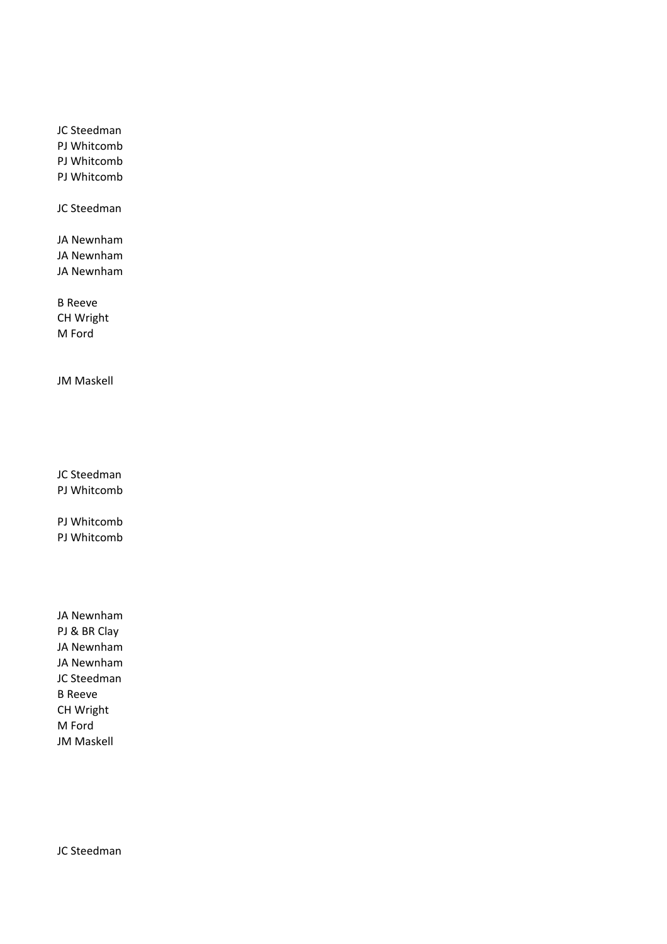JC Steedman PJ Whitcomb PJ Whitcomb PJ Whitcomb

JC Steedman

JA Newnham JA Newnham JA Newnham

B Reeve CH Wright M Ford

JM Maskell

JC Steedman PJ Whitcomb

PJ Whitcomb PJ Whitcomb

JA Newnham PJ & BR Clay JA Newnham JA Newnham JC Steedman B Reeve CH Wright M Ford JM Maskell

JC Steedman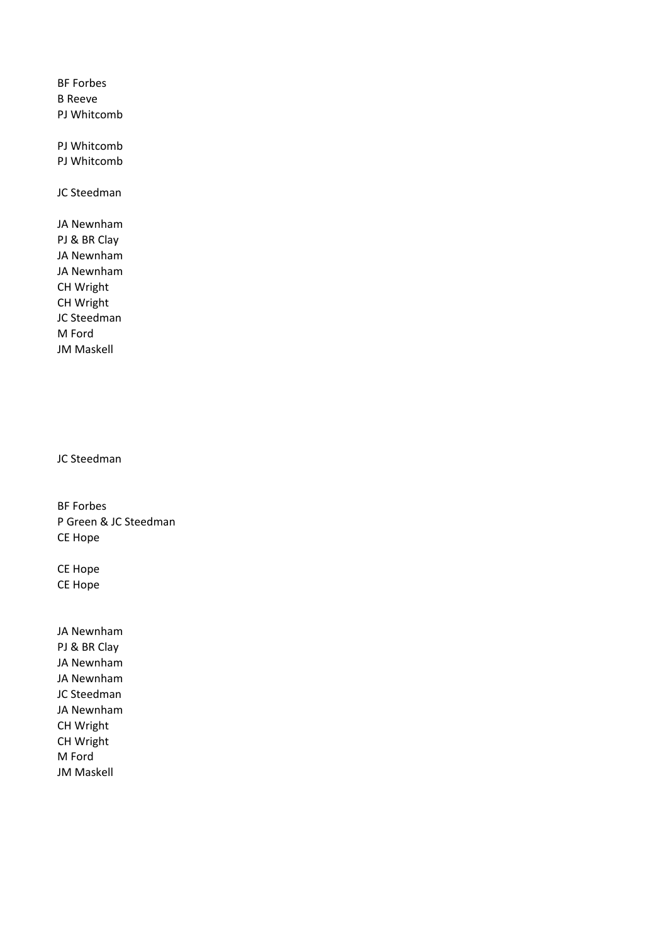BF Forbes B Reeve PJ Whitcomb

PJ Whitcomb PJ Whitcomb

JC Steedman

JA Newnham PJ & BR Clay JA Newnham JA Newnham CH Wright CH Wright JC Steedman M Ford JM Maskell

JC Steedman

BF Forbes P Green & JC Steedman CE Hope

CE Hope CE Hope

JA Newnham PJ & BR Clay JA Newnham JA Newnham JC Steedman JA Newnham CH Wright CH Wright M Ford JM Maskell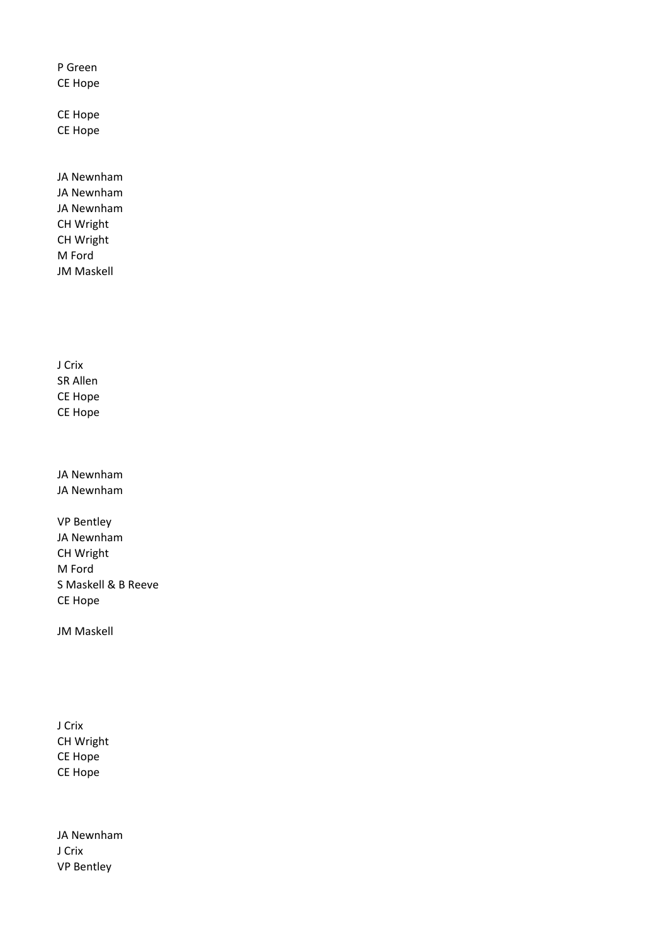P Green CE Hope

CE Hope CE Hope

JA Newnham JA Newnham JA Newnham CH Wright CH Wright M Ford JM Maskell

J Crix SR Allen CE Hope CE Hope

JA Newnham JA Newnham

VP Bentley JA Newnham CH Wright M Ford S Maskell & B Reeve CE Hope

JM Maskell

J Crix CH Wright CE Hope CE Hope

JA Newnham J Crix VP Bentley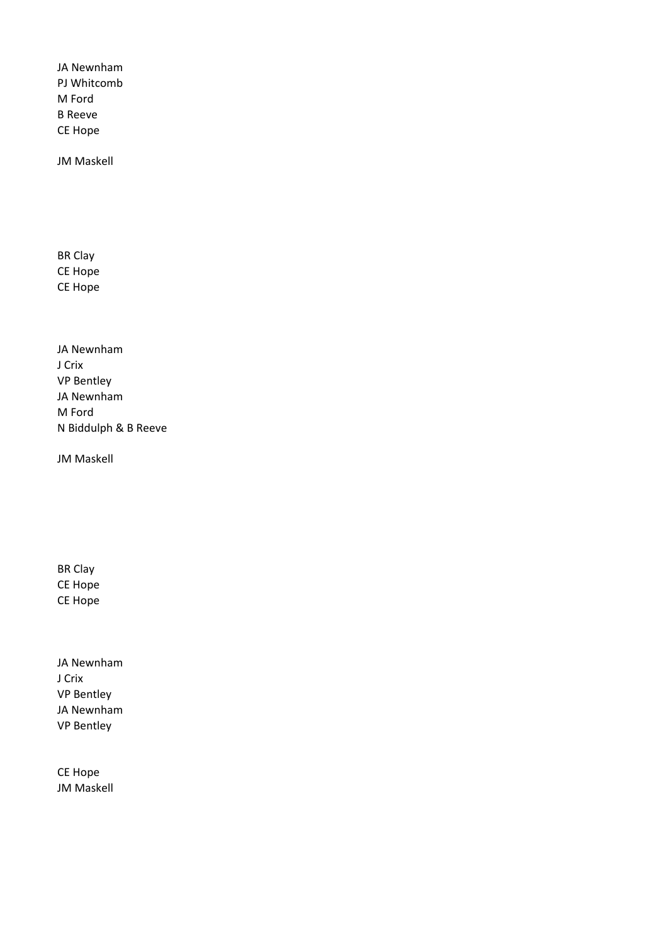JA Newnham PJ Whitcomb M Ford B Reeve CE Hope

JM Maskell

BR Clay CE Hope CE Hope

JA Newnham J Crix VP Bentley JA Newnham M Ford N Biddulph & B Reeve

JM Maskell

BR Clay CE Hope CE Hope

JA Newnham J Crix VP Bentley JA Newnham VP Bentley

CE Hope JM Maskell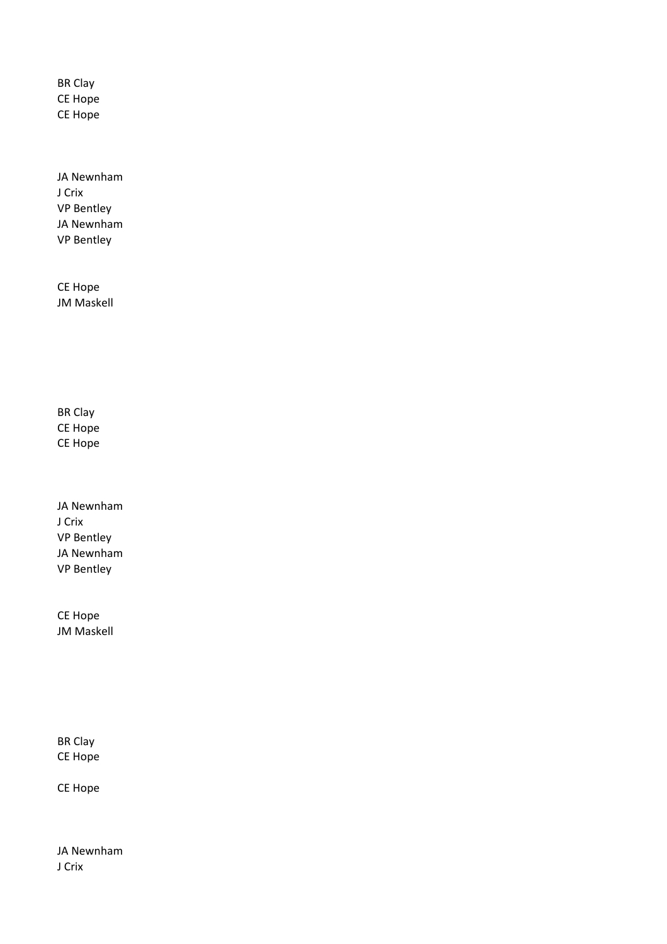BR Clay CE Hope CE Hope

JA Newnham J Crix VP Bentley JA Newnham VP Bentley

CE Hope JM Maskell

BR Clay CE Hope CE Hope

JA Newnham J Crix VP Bentley JA Newnham VP Bentley

CE Hope JM Maskell

BR Clay CE Hope

CE Hope

JA Newnham J Crix